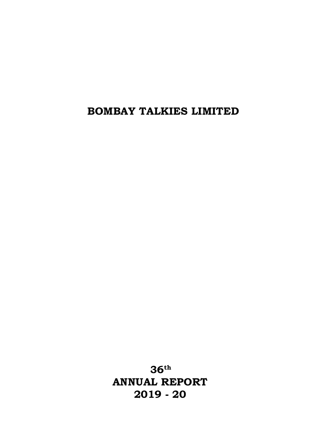**36 th ANNUAL REPORT 2019 - 20**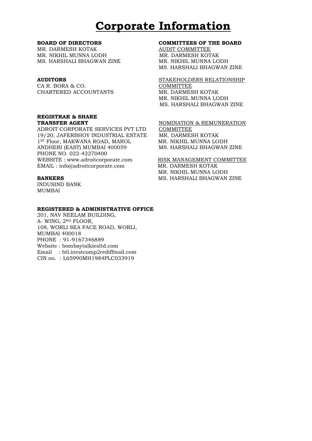# **Corporate Information**

MR. DARMESH KOTAK AUDIT COMMITTEE MR. NIKHIL MUNNA LODH MR. DARMESH KOTAK MS. HARSHALI BHAGWAN ZINE MR. NIKHIL MUNNA LODH

CA R. BORA & CO. COMMITTEE CHARTERED ACCOUNTANTS MR. DARMESH KOTAK

# **REGISTRAR & SHARE**

ADROIT CORPORATE SERVICES PVT LTD COMMITTEE 19/20, JAFERBHOY INDUSTRIAL ESTATE MR. DARMESH KOTAK 1ST Floor, MAKWANA ROAD, MAROL MR. NIKHIL MUNNA LODH ANDHERI (EAST) MUMBAI 400059 MS. HARSHALI BHAGWAN ZINE PHONE NO. 022-42270400 WEBSITE : www.adroitcorporate.com RISK MANAGEMENT COMMITTEE EMAIL : info@adroitcorporate.com MR. DARMESH KOTAK

INDUSIND BANK MUMBAI

#### **REGISTERED & ADMINISTRATIVE OFFICE**

201, NAV NEELAM BUILDING, A- WING, 2ND FLOOR, 108, WORLI SEA FACE ROAD, WORLI, MUMBAI 400018 PHONE : 91-9167346889 Website : bombaytalkiesltd.com Email : btl.invstcomp2rediffmail.com CIN no. : L65990MH1984PLC033919

#### **BOARD OF DIRECTORS COMMITTEES OF THE BOARD**

MS. HARSHALI BHAGWAN ZINE

**AUDITORS** STAKEHOLDERS RELATIONSHIP MR. NIKHIL MUNNA LODH MS. HARSHALI BHAGWAN ZINE

**TRANSFER AGENT NOMINATION & REMUNERATION** 

MR. NIKHIL MUNNA LODH **BANKERS** MS. HARSHALI BHAGWAN ZINE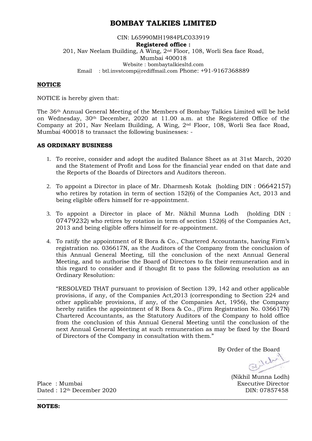#### CIN: L65990MH1984PLC033919 **Registered office :**  201, Nav Neelam Building, A Wing, 2nd Floor, 108, Worli Sea face Road, Mumbai 400018 Website : bombaytalkiesltd.com Email : btl.invstcomp@rediffmail.com Phone: +91-9167368889

#### **NOTICE**

NOTICE is hereby given that:

The 36th Annual General Meeting of the Members of Bombay Talkies Limited will be held on Wednesday, 30th December, 2020 at 11.00 a.m. at the Registered Office of the Company at 201, Nav Neelam Building, A Wing, 2nd Floor, 108, Worli Sea face Road, Mumbai 400018 to transact the following businesses: -

#### **AS ORDINARY BUSINESS**

- 1. To receive, consider and adopt the audited Balance Sheet as at 31st March, 2020 and the Statement of Profit and Loss for the financial year ended on that date and the Reports of the Boards of Directors and Auditors thereon.
- 2. To appoint a Director in place of Mr. Dharmesh Kotak (holding DIN : 06642157) who retires by rotation in term of section 152(6) of the Companies Act, 2013 and being eligible offers himself for re-appointment.
- 3. To appoint a Director in place of Mr. Nikhil Munna Lodh (holding DIN : 07479232) who retires by rotation in term of section 152(6) of the Companies Act, 2013 and being eligible offers himself for re-appointment.
- 4. To ratify the appointment of R Bora & Co., Chartered Accountants, having Firm's registration no. 036617N, as the Auditors of the Company from the conclusion of this Annual General Meeting, till the conclusion of the next Annual General Meeting, and to authorise the Board of Directors to fix their remuneration and in this regard to consider and if thought fit to pass the following resolution as an Ordinary Resolution:

"RESOLVED THAT pursuant to provision of Section 139, 142 and other applicable provisions, if any, of the Companies Act,2013 (corresponding to Section 224 and other applicable provisions, if any, of the Companies Act, 1956), the Company hereby ratifies the appointment of R Bora & Co., (Firm Registration No. 036617N) Chartered Accountants, as the Statutory Auditors of the Company to hold office from the conclusion of this Annual General Meeting until the conclusion of the next Annual General Meeting at such remuneration as may be fixed by the Board of Directors of the Company in consultation with them."

**\_\_\_\_\_\_\_\_\_\_\_\_\_\_\_\_\_\_\_\_\_\_\_\_\_\_\_\_\_\_\_\_\_\_\_\_\_\_\_\_\_\_\_\_\_\_\_\_\_\_\_\_\_\_\_\_\_\_\_\_\_\_\_\_\_\_\_\_\_\_\_\_\_\_\_\_\_\_\_\_\_\_\_\_\_\_\_**

By Order of the Board<br> $\bigcap_{i=1}^n\bigcup_{i=1}^n\bigcap_{i=1}^n\bigcap_{i=1}^n\bigcap_{i=1}^n\bigcap_{i=1}^n\bigcap_{i=1}^n\bigcap_{i=1}^n\bigcap_{i=1}^n\bigcap_{i=1}^n\bigcap_{i=1}^n\bigcap_{i=1}^n\bigcap_{i=1}^n\bigcap_{i=1}^n\bigcap_{i=1}^n\bigcap_{i=1}^n\bigcap_{i=1}^n\bigcap_{i=1}^n\bigcap_{i=1}^n\bigcap_{i=1}$ 

(Nikhil Munna Lodh)

Place : Mumbai Executive Director Dated : 12<sup>th</sup> December 2020 DIN: 07857458

**NOTES:**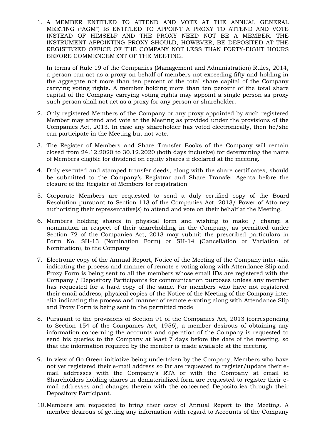1. A MEMBER ENTITLED TO ATTEND AND VOTE AT THE ANNUAL GENERAL MEETING ("AGM") IS ENTITLED TO APPOINT A PROXY TO ATTEND AND VOTE INSTEAD OF HIMSELF AND THE PROXY NEED NOT BE A MEMBER. THE INSTRUMENT APPOINTING PROXY SHOULD, HOWEVER, BE DEPOSITED AT THE REGISTERED OFFICE OF THE COMPANY NOT LESS THAN FORTY-EIGHT HOURS BEFORE COMMENCEMENT OF THE MEETING.

In terms of Rule 19 of the Companies (Management and Administration) Rules, 2014, a person can act as a proxy on behalf of members not exceeding fifty and holding in the aggregate not more than ten percent of the total share capital of the Company carrying voting rights. A member holding more than ten percent of the total share capital of the Company carrying voting rights may appoint a single person as proxy such person shall not act as a proxy for any person or shareholder.

- 2. Only registered Members of the Company or any proxy appointed by such registered Member may attend and vote at the Meeting as provided under the provisions of the Companies Act, 2013. In case any shareholder has voted electronically, then he/she can participate in the Meeting but not vote.
- 3. The Register of Members and Share Transfer Books of the Company will remain closed from 24.12.2020 to 30.12.2020 (both days inclusive) for determining the name of Members eligible for dividend on equity shares if declared at the meeting.
- 4. Duly executed and stamped transfer deeds, along with the share certificates, should be submitted to the Company's Registrar and Share Transfer Agents before the closure of the Register of Members for registration
- 5. Corporate Members are requested to send a duly certified copy of the Board Resolution pursuant to Section 113 of the Companies Act, 2013/ Power of Attorney authorizing their representative(s) to attend and vote on their behalf at the Meeting.
- 6. Members holding shares in physical form and wishing to make / change a nomination in respect of their shareholding in the Company, as permitted under Section 72 of the Companies Act, 2013 may submit the prescribed particulars in Form No. SH-13 (Nomination Form) or SH-14 (Cancellation or Variation of Nomination), to the Company
- 7. Electronic copy of the Annual Report, Notice of the Meeting of the Company inter-alia indicating the process and manner of remote e-voting along with Attendance Slip and Proxy Form is being sent to all the members whose email IDs are registered with the Company / Depository Participants for communication purposes unless any member has requested for a hard copy of the same. For members who have not registered their email address, physical copies of the Notice of the Meeting of the Company inter alia indicating the process and manner of remote e-voting along with Attendance Slip and Proxy Form is being sent in the permitted mode
- 8. Pursuant to the provisions of Section 91 of the Companies Act, 2013 (corresponding to Section 154 of the Companies Act, 1956), a member desirous of obtaining any information concerning the accounts and operation of the Company is requested to send his queries to the Company at least 7 days before the date of the meeting, so that the information required by the member is made available at the meeting.
- 9. In view of Go Green initiative being undertaken by the Company, Members who have not yet registered their e-mail address so far are requested to register/update their email addresses with the Company's RTA or with the Company at [email](mailto:lil_logic90@hotmail.com) id Shareholders holding shares in dematerialized form are requested to register their email addresses and changes therein with the concerned Depositories through their Depository Participant.
- 10.Members are requested to bring their copy of Annual Report to the Meeting. A member desirous of getting any information with regard to Accounts of the Company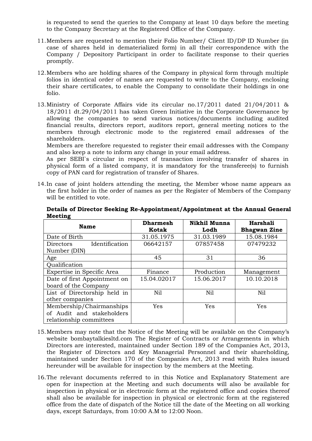is requested to send the queries to the Company at least 10 days before the meeting to the Company Secretary at the Registered Office of the Company.

- 11.Members are requested to mention their Folio Number/ Client ID/DP ID Number (in case of shares held in dematerialized form) in all their correspondence with the Company / Depository Participant in order to facilitate response to their queries promptly.
- 12.Members who are holding shares of the Company in physical form through multiple folios in identical order of names are requested to write to the Company, enclosing their share certificates, to enable the Company to consolidate their holdings in one folio.
- 13.Ministry of Corporate Affairs vide its circular no.17/2011 dated 21/04/2011 & 18/2011 dt.29/04/2011 has taken Green Initiative in the Corporate Governance by allowing the companies to send various notices/documents including audited financial results, directors report, auditors report, general meeting notices to the members through electronic mode to the registered email addresses of the shareholders.

Members are therefore requested to register their email addresses with the Company and also keep a note to inform any change in your email address.

 As per SEBI`s circular in respect of transaction involving transfer of shares in physical form of a listed company, it is mandatory for the transferee(s) to furnish copy of PAN card for registration of transfer of Shares.

14.In case of joint holders attending the meeting, the Member whose name appears as the first holder in the order of names as per the Register of Members of the Company will be entitled to vote.

| <b>Name</b>                        | <b>Dharmesh</b> | <b>Nikhil Munna</b> | Harshali            |
|------------------------------------|-----------------|---------------------|---------------------|
|                                    | Kotak           | Lodh                | <b>Bhagwan Zine</b> |
| Date of Birth                      | 31.05.1975      | 31.03.1989          | 15.08.1984          |
| Identification<br><b>Directors</b> | 06642157        | 07857458            | 07479232            |
| Number (DIN)                       |                 |                     |                     |
| Age                                | 45              | 31                  | 36                  |
| Qualification                      |                 |                     |                     |
| Expertise in Specific Area         | Finance         | Production          | Management          |
| Date of first Appointment on       | 15.04.02017     | 15.06.2017          | 10.10.2018          |
| board of the Company               |                 |                     |                     |
| List of Directorship held in       | Nil             | Nil                 |                     |
| other companies                    |                 |                     |                     |
| Membership/Chairmanships           | Yes             | Yes                 | Yes                 |
| of Audit and stakeholders          |                 |                     |                     |
| relationship committees            |                 |                     |                     |

**Details of Director Seeking Re-Appointment/Appointment at the Annual General Meeting**

- 15.Members may note that the Notice of the Meeting will be available on the Company's website bombaytalkiesltd.com The Register of Contracts or Arrangements in which Directors are interested, maintained under Section 189 of the Companies Act, 2013, the Register of Directors and Key Managerial Personnel and their shareholding, maintained under Section 170 of the Companies Act, 2013 read with Rules issued hereunder will be available for inspection by the members at the Meeting.
- 16.The relevant documents referred to in this Notice and Explanatory Statement are open for inspection at the Meeting and such documents will also be available for inspection in physical or in electronic form at the registered office and copies thereof shall also be available for inspection in physical or electronic form at the registered office from the date of dispatch of the Notice till the date of the Meeting on all working days, except Saturdays, from 10:00 A.M to 12:00 Noon.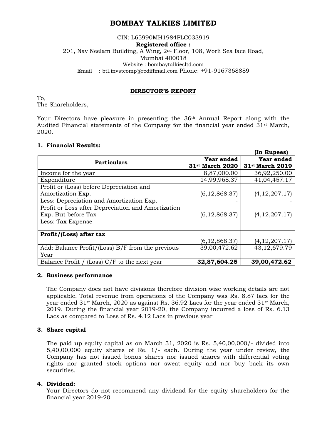#### CIN: L65990MH1984PLC033919 **Registered office :**  201, Nav Neelam Building, A Wing, 2nd Floor, 108, Worli Sea face Road, Mumbai 400018 Website : bombaytalkiesltd.com Email : btl.invstcomp@rediffmail.com Phone: +91-9167368889

#### **DIRECTOR'S REPORT**

To, The Shareholders,

Your Directors have pleasure in presenting the 36<sup>th</sup> Annual Report along with the Audited Financial statements of the Company for the financial year ended  $31<sup>st</sup>$  March, 2020.

#### **1. Financial Results:**

|                                                    |                             | (In Rupees)       |
|----------------------------------------------------|-----------------------------|-------------------|
| <b>Particulars</b>                                 | Year ended                  | <b>Year ended</b> |
|                                                    | 31 <sup>st</sup> March 2020 | 31st March 2019   |
| Income for the year                                | 8,87,000.00                 | 36,92,250.00      |
| Expenditure                                        | 14,99,968.37                | 41,04,457.17      |
| Profit or (Loss) before Depreciation and           |                             |                   |
| Amortization Exp.                                  | (6, 12, 868.37)             | (4, 12, 207, 17)  |
| Less: Depreciation and Amortization Exp.           |                             |                   |
| Profit or Loss after Depreciation and Amortization |                             |                   |
| Exp. But before Tax                                | (6, 12, 868.37)             | (4, 12, 207, 17)  |
| Less: Tax Expense                                  |                             |                   |
|                                                    |                             |                   |
| Profit/(Loss) after tax                            |                             |                   |
|                                                    | (6, 12, 868.37)             | (4, 12, 207, 17)  |
| Add: Balance Profit/(Loss) B/F from the previous   | 39,00,472.62                | 43,12,679.79      |
| Year                                               |                             |                   |
| Balance Profit / (Loss) C/F to the next year       | 32,87,604.25                | 39,00,472.62      |

#### **2. Business performance**

The Company does not have divisions therefore division wise working details are not applicable. Total revenue from operations of the Company was Rs. 8.87 lacs for the year ended 31st March, 2020 as against Rs. 36.92 Lacs for the year ended 31st March, 2019. During the financial year 2019-20, the Company incurred a loss of Rs. 6.13 Lacs as compared to Loss of Rs. 4.12 Lacs in previous year

#### **3. Share capital**

The paid up equity capital as on March 31, 2020 is Rs. 5,40,00,000/- divided into 5,40,00,000 equity shares of Re. 1/- each. During the year under review, the Company has not issued bonus shares nor issued shares with differential voting rights nor granted stock options nor sweat equity and nor buy back its own securities.

#### **4. Dividend:**

Your Directors do not recommend any dividend for the equity shareholders for the financial year 2019-20.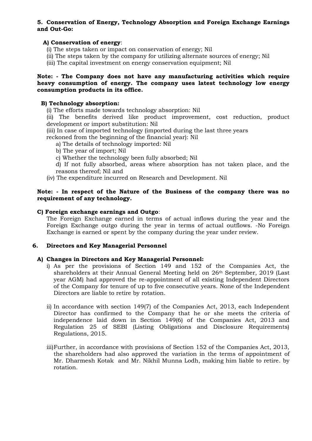#### **5. Conservation of Energy, Technology Absorption and Foreign Exchange Earnings and Out-Go:**

#### **A) Conservation of energy**:

- (i) The steps taken or impact on conservation of energy; Nil
- (ii) The steps taken by the company for utilizing alternate sources of energy; Nil
- (iii) The capital investment on energy conservation equipment; Nil

#### **Note: - The Company does not have any manufacturing activities which require heavy consumption of energy. The company uses latest technology low energy consumption products in its office.**

#### **B) Technology absorption:**

(i) The efforts made towards technology absorption: Nil

(ii) The benefits derived like product improvement, cost reduction, product development or import substitution: Nil

(iii) In case of imported technology (imported during the last three years

reckoned from the beginning of the financial year): Nil

- a) The details of technology imported: Nil
- b) The year of import; Nil
- c) Whether the technology been fully absorbed; Nil

d) If not fully absorbed, areas where absorption has not taken place, and the reasons thereof; Nil and

(iv) The expenditure incurred on Research and Development. Nil

#### **Note: - In respect of the Nature of the Business of the company there was no requirement of any technology.**

#### **C) Foreign exchange earnings and Outgo**:

The Foreign Exchange earned in terms of actual inflows during the year and the Foreign Exchange outgo during the year in terms of actual outflows. -No Foreign Exchange is earned or spent by the company during the year under review.

#### **6. Directors and Key Managerial Personnel**

#### **A) Changes in Directors and Key Managerial Personnel:**

- i) As per the provisions of Section 149 and 152 of the Companies Act, the shareholders at their Annual General Meeting held on 26th September, 2019 (Last year AGM) had approved the re-appointment of all existing Independent Directors of the Company for tenure of up to five consecutive years. None of the Independent Directors are liable to retire by rotation.
- ii) In accordance with section 149(7) of the Companies Act, 2013, each Independent Director has confirmed to the Company that he or she meets the criteria of independence laid down in Section 149(6) of the Companies Act, 2013 and Regulation 25 of SEBI (Listing Obligations and Disclosure Requirements) Regulations, 2015.
- iii)Further, in accordance with provisions of Section 152 of the Companies Act, 2013, the shareholders had also approved the variation in the terms of appointment of Mr. Dharmesh Kotak and Mr. Nikhil Munna Lodh, making him liable to retire. by rotation.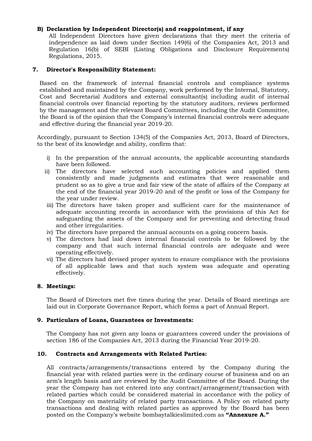#### **B) Declaration by Independent Director(s) and reappointment, if any**

All Independent Directors have given declarations that they meet the criteria of independence as laid down under Section 149(6) of the Companies Act, 2013 and Regulation 16(b) of SEBI (Listing Obligations and Disclosure Requirements) Regulations, 2015.

#### **7. Director's Responsibility Statement:**

Based on the framework of internal financial controls and compliance systems established and maintained by the Company, work performed by the Internal, Statutory, Cost and Secretarial Auditors and external consultant(s) including audit of internal financial controls over financial reporting by the statutory auditors, reviews performed by the management and the relevant Board Committees, including the Audit Committee, the Board is of the opinion that the Company's internal financial controls were adequate and effective during the financial year 2019-20.

Accordingly, pursuant to Section 134(5) of the Companies Act, 2013, Board of Directors, to the best of its knowledge and ability, confirm that:

- i) In the preparation of the annual accounts, the applicable accounting standards have been followed.
- ii) The directors have selected such accounting policies and applied them consistently and made judgments and estimates that were reasonable and prudent so as to give a true and fair view of the state of affairs of the Company at the end of the financial year 2019-20 and of the profit or loss of the Company for the year under review.
- iii) The directors have taken proper and sufficient care for the maintenance of adequate accounting records in accordance with the provisions of this Act for safeguarding the assets of the Company and for preventing and detecting fraud and other irregularities.
- iv) The directors have prepared the annual accounts on a going concern basis.
- v) The directors had laid down internal financial controls to be followed by the company and that such internal financial controls are adequate and were operating effectively.
- vi) The directors had devised proper system to ensure compliance with the provisions of all applicable laws and that such system was adequate and operating effectively.

#### **8. Meetings:**

The Board of Directors met five times during the year. Details of Board meetings are laid out in Corporate Governance Report, which forms a part of Annual Report.

#### **9. Particulars of Loans, Guarantees or Investments:**

The Company has not given any loans or guarantees covered under the provisions of section 186 of the Companies Act, 2013 during the Financial Year 2019-20.

#### **10. Contracts and Arrangements with Related Parties:**

All contracts/arrangements/transactions entered by the Company during the financial year with related parties were in the ordinary course of business and on an arm's length basis and are reviewed by the Audit Committee of the Board. During the year the Company has not entered into any contract/arrangement/transaction with related parties which could be considered material in accordance with the policy of the Company on materiality of related party transactions. A Policy on related party transactions and dealing with related parties as approved by the Board has been posted on the Company's website bombaytalkieslimited.com as **"Annexure A."**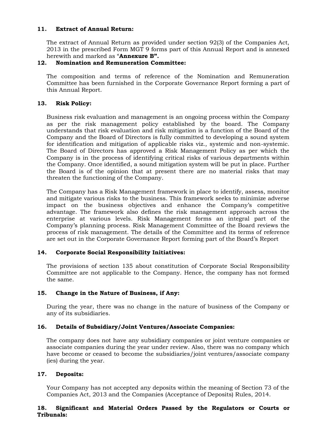#### **11. Extract of Annual Return:**

The extract of Annual Return as provided under section 92(3) of the Companies Act, 2013 in the prescribed Form MGT 9 forms part of this Annual Report and is annexed herewith and marked as "**Annexure B".**

#### **12. Nomination and Remuneration Committee:**

The composition and terms of reference of the Nomination and Remuneration Committee has been furnished in the Corporate Governance Report forming a part of this Annual Report.

#### **13. Risk Policy:**

Business risk evaluation and management is an ongoing process within the Company as per the risk management policy established by the board. The Company understands that risk evaluation and risk mitigation is a function of the Board of the Company and the Board of Directors is fully committed to developing a sound system for identification and mitigation of applicable risks viz., systemic and non-systemic. The Board of Directors has approved a Risk Management Policy as per which the Company is in the process of identifying critical risks of various departments within the Company. Once identified, a sound mitigation system will be put in place. Further the Board is of the opinion that at present there are no material risks that may threaten the functioning of the Company.

The Company has a Risk Management framework in place to identify, assess, monitor and mitigate various risks to the business. This framework seeks to minimize adverse impact on the business objectives and enhance the Company's competitive advantage. The framework also defines the risk management approach across the enterprise at various levels. Risk Management forms an integral part of the Company's planning process. Risk Management Committee of the Board reviews the process of risk management. The details of the Committee and its terms of reference are set out in the Corporate Governance Report forming part of the Board's Report

#### **14. Corporate Social Responsibility Initiatives:**

The provisions of section 135 about constitution of Corporate Social Responsibility Committee are not applicable to the Company. Hence, the company has not formed the same.

#### **15. Change in the Nature of Business, if Any:**

During the year, there was no change in the nature of business of the Company or any of its subsidiaries.

#### **16. Details of Subsidiary/Joint Ventures/Associate Companies:**

The company does not have any subsidiary companies or joint venture companies or associate companies during the year under review. Also, there was no company which have become or ceased to become the subsidiaries/joint ventures/associate company (ies) during the year.

#### **17. Deposits:**

Your Company has not accepted any deposits within the meaning of Section 73 of the Companies Act, 2013 and the Companies (Acceptance of Deposits) Rules, 2014.

#### **18. Significant and Material Orders Passed by the Regulators or Courts or Tribunals:**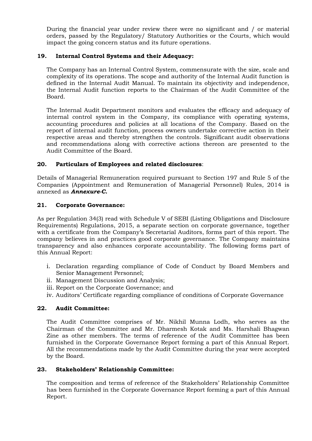During the financial year under review there were no significant and / or material orders, passed by the Regulatory/ Statutory Authorities or the Courts, which would impact the going concern status and its future operations.

#### **19. Internal Control Systems and their Adequacy:**

The Company has an Internal Control System, commensurate with the size, scale and complexity of its operations. The scope and authority of the Internal Audit function is defined in the Internal Audit Manual. To maintain its objectivity and independence, the Internal Audit function reports to the Chairman of the Audit Committee of the Board.

The Internal Audit Department monitors and evaluates the efficacy and adequacy of internal control system in the Company, its compliance with operating systems, accounting procedures and policies at all locations of the Company. Based on the report of internal audit function, process owners undertake corrective action in their respective areas and thereby strengthen the controls. Significant audit observations and recommendations along with corrective actions thereon are presented to the Audit Committee of the Board.

#### **20. Particulars of Employees and related disclosures**:

Details of Managerial Remuneration required pursuant to Section 197 and Rule 5 of the Companies (Appointment and Remuneration of Managerial Personnel) Rules, 2014 is annexed as *Annexure-C.*

#### **21. Corporate Governance:**

As per Regulation 34(3) read with Schedule V of SEBI (Listing Obligations and Disclosure Requirements) Regulations, 2015, a separate section on corporate governance, together with a certificate from the Company's Secretarial Auditors, forms part of this report. The company believes in and practices good corporate governance. The Company maintains transparency and also enhances corporate accountability. The following forms part of this Annual Report:

- i. Declaration regarding compliance of Code of Conduct by Board Members and Senior Management Personnel;
- ii. Management Discussion and Analysis;
- iii. Report on the Corporate Governance; and
- iv. Auditors' Certificate regarding compliance of conditions of Corporate Governance

#### **22. Audit Committee:**

The Audit Committee comprises of Mr. Nikhil Munna Lodh, who serves as the Chairman of the Committee and Mr. Dharmesh Kotak and Ms. Harshali Bhagwan Zine as other members. The terms of reference of the Audit Committee has been furnished in the Corporate Governance Report forming a part of this Annual Report. All the recommendations made by the Audit Committee during the year were accepted by the Board.

#### **23. Stakeholders' Relationship Committee:**

The composition and terms of reference of the Stakeholders' Relationship Committee has been furnished in the Corporate Governance Report forming a part of this Annual Report.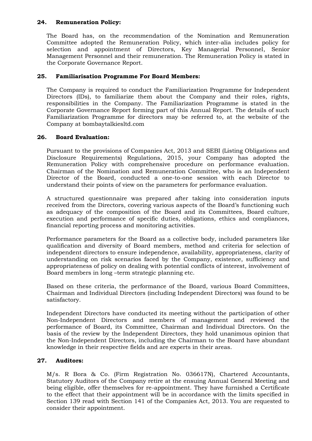#### **24. Remuneration Policy:**

The Board has, on the recommendation of the Nomination and Remuneration Committee adopted the Remuneration Policy, which inter-alia includes policy for selection and appointment of Directors, Key Managerial Personnel, Senior Management Personnel and their remuneration. The Remuneration Policy is stated in the Corporate Governance Report.

#### **25. Familiarisation Programme For Board Members:**

The Company is required to conduct the Familiarization Programme for Independent Directors (IDs), to familiarize them about the Company and their roles, rights, responsibilities in the Company. The Familiarization Programme is stated in the Corporate Governance Report forming part of this Annual Report. The details of such Familiarization Programme for directors may be referred to, at the website of the Company at bombaytalkiesltd.com

#### **26. Board Evaluation:**

Pursuant to the provisions of Companies Act, 2013 and SEBI (Listing Obligations and Disclosure Requirements) Regulations, 2015, your Company has adopted the Remuneration Policy with comprehensive procedure on performance evaluation. Chairman of the Nomination and Remuneration Committee, who is an Independent Director of the Board, conducted a one-to-one session with each Director to understand their points of view on the parameters for performance evaluation.

A structured questionnaire was prepared after taking into consideration inputs received from the Directors, covering various aspects of the Board's functioning such as adequacy of the composition of the Board and its Committees, Board culture, execution and performance of specific duties, obligations, ethics and compliances, financial reporting process and monitoring activities.

Performance parameters for the Board as a collective body, included parameters like qualification and diversity of Board members, method and criteria for selection of independent directors to ensure independence, availability, appropriateness, clarity of understanding on risk scenarios faced by the Company, existence, sufficiency and appropriateness of policy on dealing with potential conflicts of interest, involvement of Board members in long –term strategic planning etc.

Based on these criteria, the performance of the Board, various Board Committees, Chairman and Individual Directors (including Independent Directors) was found to be satisfactory.

Independent Directors have conducted its meeting without the participation of other Non-Independent Directors and members of management and reviewed the performance of Board, its Committee, Chairman and Individual Directors. On the basis of the review by the Independent Directors, they hold unanimous opinion that the Non-Independent Directors, including the Chairman to the Board have abundant knowledge in their respective fields and are experts in their areas.

#### **27. Auditors:**

M/s. R Bora & Co. (Firm Registration No. 036617N), Chartered Accountants, Statutory Auditors of the Company retire at the ensuing Annual General Meeting and being eligible, offer themselves for re-appointment. They have furnished a Certificate to the effect that their appointment will be in accordance with the limits specified in Section 139 read with Section 141 of the Companies Act, 2013. You are requested to consider their appointment.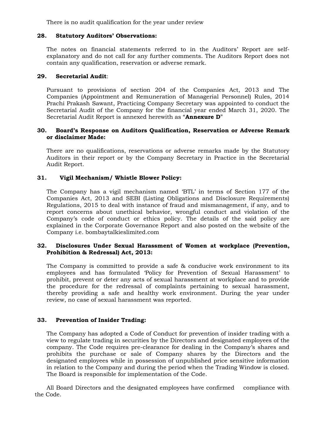There is no audit qualification for the year under review

#### **28. Statutory Auditors' Observations:**

The notes on financial statements referred to in the Auditors' Report are selfexplanatory and do not call for any further comments. The Auditors Report does not contain any qualification, reservation or adverse remark.

#### **29. Secretarial Audit**:

Pursuant to provisions of section 204 of the Companies Act, 2013 and The Companies (Appointment and Remuneration of Managerial Personnel) Rules, 2014 Prachi Prakash Sawant, Practicing Company Secretary was appointed to conduct the Secretarial Audit of the Company for the financial year ended March 31, 2020. The Secretarial Audit Report is annexed herewith as "**Annexure D**"

#### **30. Board's Response on Auditors Qualification, Reservation or Adverse Remark or disclaimer Made:**

There are no qualifications, reservations or adverse remarks made by the Statutory Auditors in their report or by the Company Secretary in Practice in the Secretarial Audit Report.

#### **31. Vigil Mechanism/ Whistle Blower Policy:**

The Company has a vigil mechanism named 'BTL' in terms of Section 177 of the Companies Act, 2013 and SEBI (Listing Obligations and Disclosure Requirements) Regulations, 2015 to deal with instance of fraud and mismanagement, if any, and to report concerns about unethical behavior, wrongful conduct and violation of the Company's code of conduct or ethics policy. The details of the said policy are explained in the Corporate Governance Report and also posted on the website of the Company i.e. bombaytalkieslimited.com

#### **32. Disclosures Under Sexual Harassment of Women at workplace (Prevention, Prohibition & Redressal) Act, 2013:**

The Company is committed to provide a safe & conducive work environment to its employees and has formulated 'Policy for Prevention of Sexual Harassment' to prohibit, prevent or deter any acts of sexual harassment at workplace and to provide the procedure for the redressal of complaints pertaining to sexual harassment, thereby providing a safe and healthy work environment. During the year under review, no case of sexual harassment was reported.

#### **33. Prevention of Insider Trading:**

The Company has adopted a Code of Conduct for prevention of insider trading with a view to regulate trading in securities by the Directors and designated employees of the company. The Code requires pre-clearance for dealing in the Company's shares and prohibits the purchase or sale of Company shares by the Directors and the designated employees while in possession of unpublished price sensitive information in relation to the Company and during the period when the Trading Window is closed. The Board is responsible for implementation of the Code.

All Board Directors and the designated employees have confirmed compliance with the Code.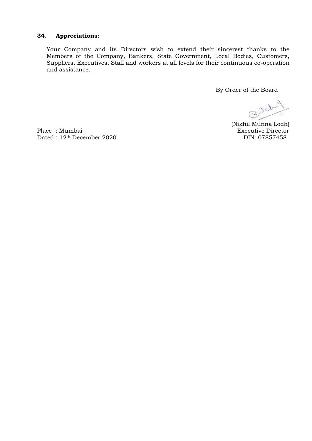#### **34. Appreciations:**

Your Company and its Directors wish to extend their sincerest thanks to the Members of the Company, Bankers, State Government, Local Bodies, Customers, Suppliers, Executives, Staff and workers at all levels for their continuous co-operation and assistance.

By Order of the Board

Gill

(Nikhil Munna Lodh)

Place : Mumbai Executive Director Dated : 12<sup>th</sup> December 2020 DIN: 07857458 Dated : 12<sup>th</sup> December 2020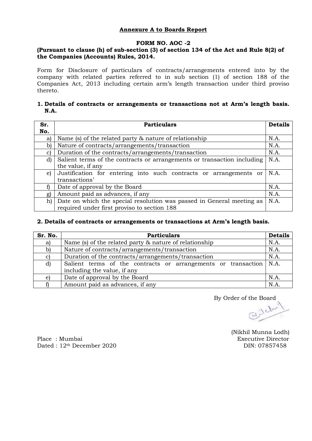### **Annexure A to Boards Report**

#### **FORM NO. AOC -2**

#### **(Pursuant to clause (h) of sub-section (3) of section 134 of the Act and Rule 8(2) of the Companies (Accounts) Rules, 2014.**

Form for Disclosure of particulars of contracts/arrangements entered into by the company with related parties referred to in sub section (1) of section 188 of the Companies Act, 2013 including certain arm's length transaction under third proviso thereto.

#### **1. Details of contracts or arrangements or transactions not at Arm's length basis. N.A.**

| Sr.          | <b>Particulars</b>                                                              | <b>Details</b> |  |  |
|--------------|---------------------------------------------------------------------------------|----------------|--|--|
| No.          |                                                                                 |                |  |  |
| a)           | Name (s) of the related party & nature of relationship                          | N.A.           |  |  |
| b)           | Nature of contracts/arrangements/transaction                                    |                |  |  |
| C)           | Duration of the contracts/arrangements/transaction<br>N.A.                      |                |  |  |
| $\mathbf{d}$ | N.A.<br>Salient terms of the contracts or arrangements or transaction including |                |  |  |
|              | the value, if any                                                               |                |  |  |
| e)           | Justification for entering into such contracts or arrangements or               | N.A.           |  |  |
|              | transactions'                                                                   |                |  |  |
|              | Date of approval by the Board                                                   | N.A.           |  |  |
| g)           | Amount paid as advances, if any                                                 | N.A.           |  |  |
| h)           | Date on which the special resolution was passed in General meeting as           | N.A.           |  |  |
|              | required under first proviso to section 188                                     |                |  |  |

#### **2. Details of contracts or arrangements or transactions at Arm's length basis.**

| Sr. No. | <b>Particulars</b>                                                                                        |      |  |  |  |  |
|---------|-----------------------------------------------------------------------------------------------------------|------|--|--|--|--|
| a)      | Name (s) of the related party & nature of relationship                                                    |      |  |  |  |  |
| b)      | N.A.<br>Nature of contracts/arrangements/transaction                                                      |      |  |  |  |  |
| C)      | Duration of the contracts/arrangements/transaction<br>N.A.                                                |      |  |  |  |  |
| d)      | Salient terms of the contracts or arrangements or transaction $\vert N.A.$<br>including the value, if any |      |  |  |  |  |
| e)      | Date of approval by the Board                                                                             | N.A. |  |  |  |  |
|         | Amount paid as advances, if any                                                                           | N.A  |  |  |  |  |

By Order of the Board<br> $\bigcup_{\substack{\lambda \in \mathbb{Z}^d}} \mathbb{Z}$ 

(Nikhil Munna Lodh)

Place : Mumbai Executive Director Dated : 12<sup>th</sup> December 2020 DIN: 07857458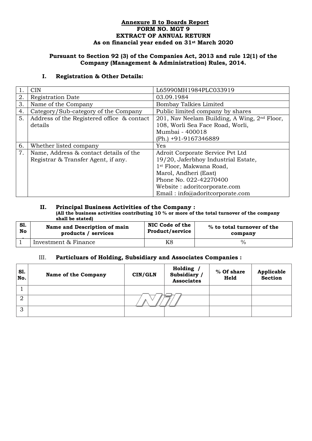#### **Annexure B to Boards Report FORM NO. MGT 9 EXTRACT OF ANNUAL RETURN As on financial year ended on 31st March 2020**

#### **Pursuant to Section 92 (3) of the Companies Act, 2013 and rule 12(1) of the Company (Management & Administration) Rules, 2014.**

#### **I. Registration & Other Details:**

|    | <b>CIN</b>                                 | L65990MH1984PLC033919                                    |
|----|--------------------------------------------|----------------------------------------------------------|
| 2. | <b>Registration Date</b>                   | 03.09.1984                                               |
| 3. | Name of the Company                        | <b>Bombay Talkies Limited</b>                            |
| 4. | Category/Sub-category of the Company       | Public limited company by shares                         |
| 5. | Address of the Registered office & contact | 201, Nav Neelam Building, A Wing, 2 <sup>nd</sup> Floor, |
|    | details                                    | 108, Worli Sea Face Road, Worli,                         |
|    |                                            | Mumbai - 400018                                          |
|    |                                            | (Ph.) +91-9167346889                                     |
| 6. | Whether listed company                     | Yes                                                      |
| 7. | Name, Address & contact details of the     | Adroit Corporate Service Pvt Ltd                         |
|    | Registrar & Transfer Agent, if any.        | 19/20, Jaferbhoy Industrial Estate,                      |
|    |                                            | 1st Floor, Makwana Road,                                 |
|    |                                            | Marol, Andheri (East)                                    |
|    |                                            | Phone No. 022-42270400                                   |
|    |                                            | Website: adoritcorporate.com                             |
|    |                                            | Email: info@adoritcorporate.com                          |

#### **II. Principal Business Activities of the Company : (All the business activities contributing 10 % or more of the total turnover of the company shall be stated)**

| S1. | Name and Description of main | NIC Code of the        | % to total turnover of the |  |
|-----|------------------------------|------------------------|----------------------------|--|
| No  | products / services          | <b>Product/service</b> | company                    |  |
|     | Investment & Finance         |                        |                            |  |

#### III. **Particluars of Holding, Subsidiary and Associates Companies :**

| S1.<br>No. | <b>Name of the Company</b> | CIN/GLN | Holding /<br>Subsidiary /<br><b>Associates</b> | % Of share<br>Held | <b>Applicable</b><br>Section |
|------------|----------------------------|---------|------------------------------------------------|--------------------|------------------------------|
|            |                            |         |                                                |                    |                              |
| റ          |                            |         |                                                |                    |                              |
| 3          |                            |         |                                                |                    |                              |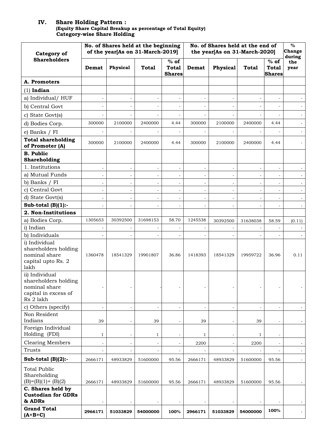#### **IV. Share Holding Pattern : (Equity Share Capital Breakup as percentage of Total Equity) Category-wise Share Holding**

|                                                                                              | No. of Shares held at the beginning<br>of the year[As on 31-March-2019] |                          |                          |                                         | No. of Shares held at the end of |                          |                   |                                         | $\%$<br>Change |
|----------------------------------------------------------------------------------------------|-------------------------------------------------------------------------|--------------------------|--------------------------|-----------------------------------------|----------------------------------|--------------------------|-------------------|-----------------------------------------|----------------|
| Category of                                                                                  |                                                                         |                          |                          |                                         | the year[As on 31-March-2020]    |                          |                   |                                         | during         |
| <b>Shareholders</b>                                                                          | Demat                                                                   | Physical                 | <b>Total</b>             | $%$ of<br><b>Total</b><br><b>Shares</b> | Demat                            | Physical                 | <b>Total</b>      | $%$ of<br><b>Total</b><br><b>Shares</b> | the<br>year    |
| A. Promoters                                                                                 |                                                                         |                          |                          |                                         |                                  |                          |                   |                                         |                |
| $(1)$ Indian                                                                                 |                                                                         |                          |                          |                                         |                                  |                          |                   |                                         |                |
| a) Individual/ HUF                                                                           |                                                                         |                          | $\overline{\phantom{a}}$ |                                         |                                  |                          | $\qquad \qquad -$ | $\overline{\phantom{a}}$                |                |
| b) Central Govt                                                                              |                                                                         |                          | $\blacksquare$           |                                         | $\overline{\phantom{a}}$         |                          |                   | ÷.                                      |                |
| c) State Govt(s)                                                                             |                                                                         |                          |                          |                                         |                                  |                          |                   |                                         |                |
| d) Bodies Corp.                                                                              | 300000                                                                  | 2100000                  | 2400000                  | 4.44                                    | 300000                           | 2100000                  | 2400000           | 4.44                                    |                |
| e) Banks / FI                                                                                |                                                                         |                          |                          |                                         |                                  |                          |                   |                                         |                |
| <b>Total shareholding</b><br>of Promoter (A)                                                 | 300000                                                                  | 2100000                  | 2400000                  | 4.44                                    | 300000                           | 2100000                  | 2400000           | 4.44                                    |                |
| <b>B.</b> Public<br>Shareholding                                                             |                                                                         |                          |                          |                                         |                                  |                          |                   |                                         |                |
| 1. Institutions                                                                              |                                                                         |                          | $\blacksquare$           |                                         | $\overline{\phantom{a}}$         |                          | $\blacksquare$    | $\sim$                                  |                |
| a) Mutual Funds                                                                              | $\sim$                                                                  | $\overline{\phantom{a}}$ | $\overline{\phantom{a}}$ | $\sim$                                  | $\overline{\phantom{a}}$         | ÷.                       | $\blacksquare$    | $\overline{\phantom{a}}$                |                |
| b) Banks / FI                                                                                |                                                                         |                          | $\overline{\phantom{a}}$ | $\overline{\phantom{a}}$                | $\overline{\phantom{a}}$         | $\overline{\phantom{0}}$ |                   | $\overline{\phantom{a}}$                |                |
| c) Central Govt                                                                              |                                                                         | L.                       | $\blacksquare$           | $\blacksquare$                          | $\overline{\phantom{a}}$         | $\overline{\phantom{0}}$ | ÷.                | $\overline{\phantom{a}}$                |                |
| d) State Govt(s)                                                                             |                                                                         |                          | $\overline{\phantom{a}}$ |                                         | $\overline{\phantom{a}}$         |                          |                   | $\overline{\phantom{a}}$                |                |
| Sub-total $(B)(1)$ :                                                                         |                                                                         |                          | $\blacksquare$           |                                         |                                  |                          |                   | $\overline{\phantom{a}}$                |                |
| 2. Non-Institutions<br>a) Bodies Corp.                                                       | 1305653                                                                 | 30392500                 | 31698153                 | 58.70                                   | 1245538                          |                          |                   |                                         |                |
| i) Indian                                                                                    |                                                                         |                          |                          |                                         |                                  | 30392500                 | 31638038          | 58.59                                   | (0.11)         |
| b) Individuals                                                                               |                                                                         |                          |                          |                                         |                                  |                          |                   |                                         |                |
| i) Individual<br>shareholders holding<br>nominal share<br>capital upto Rs. 2<br>lakh         | 1360478                                                                 | 18541329                 | 19901807                 | 36.86                                   | 1418393                          | 18541329                 | 19959722          | 36.96                                   | 0.11           |
| ii) Individual<br>shareholders holding<br>nominal share<br>capital in excess of<br>Rs 2 lakh |                                                                         |                          |                          |                                         |                                  |                          |                   |                                         |                |
| c) Others (specify)                                                                          | $\sim$                                                                  | $\overline{\phantom{a}}$ | $\blacksquare$           | $\blacksquare$                          | $\overline{\phantom{a}}$         | $\blacksquare$           | $\blacksquare$    | $\blacksquare$                          |                |
| Non Resident<br>Indians                                                                      | 39                                                                      |                          | 39                       |                                         | 39                               |                          | 39                |                                         |                |
| Foreign Individual<br>Holding (FDI)                                                          | $\mathbf{1}$                                                            |                          | 1                        |                                         | $\mathbf{1}$                     |                          | 1                 | $\overline{\phantom{a}}$                |                |
| <b>Clearing Members</b>                                                                      |                                                                         |                          | $\overline{\phantom{a}}$ |                                         | 2200                             |                          | 2200              | $\overline{\phantom{a}}$                |                |
| Trusts                                                                                       |                                                                         |                          | $\overline{\phantom{a}}$ |                                         |                                  |                          |                   |                                         |                |
| Sub-total $(B)(2)$ :-                                                                        | 2666171                                                                 | 48933829                 | 51600000                 | 95.56                                   | 2666171                          | 48933829                 | 51600000          | 95.56                                   |                |
| <b>Total Public</b><br>Shareholding<br>$(B)= (B)(1)+(B)(2)$                                  | 2666171                                                                 | 48933829                 | 51600000                 | 95.56                                   | 2666171                          | 48933829                 | 51600000          | 95.56                                   |                |
| C. Shares held by<br><b>Custodian for GDRs</b><br>& ADRs                                     |                                                                         |                          | $\blacksquare$           |                                         |                                  |                          |                   | $\sim$                                  |                |
| <b>Grand Total</b><br>$(A+B+C)$                                                              | 2966171                                                                 | 51033829                 | 54000000                 | 100%                                    | 2966171                          | 51033829                 | 54000000          | 100%                                    |                |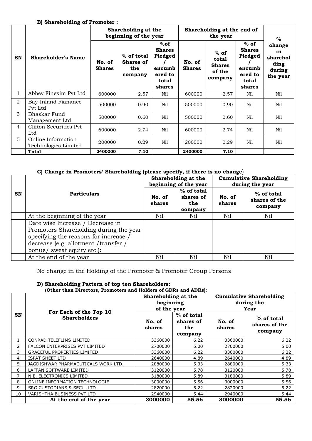#### **B) Shareholding of Promoter :**

|                |                                            | Shareholding at the<br>beginning of the year |                                                    | Shareholding at the end of                                              | %                       |                                                       |                                                                            |                                                        |
|----------------|--------------------------------------------|----------------------------------------------|----------------------------------------------------|-------------------------------------------------------------------------|-------------------------|-------------------------------------------------------|----------------------------------------------------------------------------|--------------------------------------------------------|
| <b>SN</b>      | <b>Shareholder's Name</b>                  | No. of<br><b>Shares</b>                      | $%$ of total<br><b>Shares of</b><br>the<br>company | %of<br><b>Shares</b><br>Pledged<br>encumb<br>ered to<br>total<br>shares | No. of<br><b>Shares</b> | $%$ of<br>total<br><b>Shares</b><br>of the<br>company | $%$ of<br><b>Shares</b><br>Pledged<br>encumb<br>ered to<br>total<br>shares | change<br>in<br>sharehol<br>ding<br>during<br>the year |
| $\mathbf{1}$   | Abbey Finexim Pvt Ltd                      | 600000                                       | 2.57                                               | Nil                                                                     | 600000                  | 2.57                                                  | Nil                                                                        | Nil                                                    |
| $\overline{2}$ | Bay-Inland Fianance<br>Pvt Ltd             | 500000                                       | 0.90                                               | Nil                                                                     | 500000                  | 0.90                                                  | Nil                                                                        | Nil                                                    |
| 3              | Bhaskar Fund<br>Management Ltd             | 500000                                       | 0.60                                               | Nil                                                                     | 500000                  | 0.60                                                  | Nil                                                                        | Nil                                                    |
| $\overline{4}$ | Clifton Securities Pvt<br>Ltd              | 600000                                       | 2.74                                               | Nil                                                                     | 600000                  | 2.74                                                  | Nil                                                                        | Nil                                                    |
| 5              | Online Information<br>Technologies Limited | 200000                                       | 0.29                                               | Nil                                                                     | 200000                  | 0.29                                                  | Nil                                                                        | Nil                                                    |
|                | <b>Total</b>                               | 2400000                                      | 7.10                                               |                                                                         | 2400000                 | 7.10                                                  |                                                                            |                                                        |

#### **C) Change in Promoters' Shareholding (please specify, if there is no change**)

|           |                                                                                                                                                                                            |                  | Shareholding at the<br>beginning of the year | <b>Cumulative Shareholding</b><br>during the year |                                          |  |
|-----------|--------------------------------------------------------------------------------------------------------------------------------------------------------------------------------------------|------------------|----------------------------------------------|---------------------------------------------------|------------------------------------------|--|
| <b>SN</b> | <b>Particulars</b>                                                                                                                                                                         | No. of<br>shares | % of total<br>shares of<br>the<br>company    | No. of<br>shares                                  | $%$ of total<br>shares of the<br>company |  |
|           | At the beginning of the year                                                                                                                                                               | Nil              | Nil                                          | Nil                                               | Nil                                      |  |
|           | Date wise Increase / Decrease in<br>Promoters Shareholding during the year<br>specifying the reasons for increase /<br>decrease (e.g. allotment / transfer /<br>bonus/ sweat equity etc.): |                  |                                              |                                                   |                                          |  |
|           | At the end of the year                                                                                                                                                                     | Nil              | Nil                                          | Nil                                               | Nil                                      |  |

No change in the Holding of the Promoter & Promoter Group Persons

#### **D) Shareholding Pattern of top ten Shareholders:**

#### **(Other than Directors, Promoters and Holders of GDRs and ADRs):**

|                | For Each of the Top 10<br><b>Shareholders</b> | Shareholding at the<br>beginning<br>of the year |                                           | <b>Cumulative Shareholding</b><br>during the<br>Year |                                        |  |
|----------------|-----------------------------------------------|-------------------------------------------------|-------------------------------------------|------------------------------------------------------|----------------------------------------|--|
| SN             |                                               | No. of<br>shares                                | % of total<br>shares of<br>the<br>company | No. of<br>shares                                     | % of total<br>shares of the<br>company |  |
|                | CONRAD TELEFLIMS LIMITED                      | 3360000                                         | 6.22                                      | 3360000                                              | 6.22                                   |  |
| $\overline{2}$ | FALCON ENTERPRISES PVT LIMITED                | 2700000                                         | 5.00                                      | 2700000                                              | 5.00                                   |  |
| 3              | <b>GRACEFUL PROPERTIES LIMITED</b>            | 3360000                                         | 6.22                                      | 3360000                                              | 6.22                                   |  |
| 4              | <b>ISPAT SHEET LTD</b>                        | 2640000                                         | 4.89                                      | 2640000                                              | 4.89                                   |  |
| 5.             | JAGDISHWAR PHARMACUTICALS WORK LTD.           | 2880000                                         | 5.33                                      | 2880000                                              | 5.33                                   |  |
| 6              | LAFFAN SOFTWARE LIMITED                       | 3120000                                         | 5.78                                      | 3120000                                              | 5.78                                   |  |
| 7              | N.E. ELECTRONICS LIMITED                      | 3180000                                         | 5.89                                      | 3180000                                              | 5.89                                   |  |
| 8              | ONLINE INFORMATION TECHNOLOGIE                | 3000000                                         | 5.56                                      | 3000000                                              | 5.56                                   |  |
| 9              | SRG CUSTODIANS & SECU, LTD.                   | 2820000                                         | 5.22                                      | 2820000                                              | 5.22                                   |  |
| 10             | VARISHTHA BUSINESS PVT LTD                    | 2940000                                         | 5.44                                      | 2940000                                              | 5.44                                   |  |
|                | At the end of the year                        | 3000000                                         | 55.56                                     | 3000000                                              | 55.56                                  |  |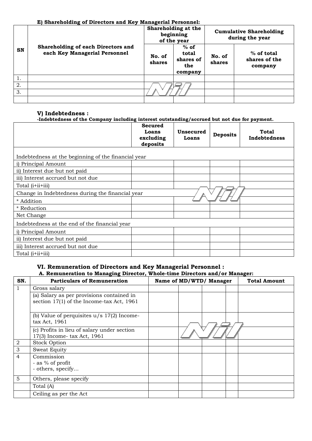#### **E) Shareholding of Directors and Key Managerial Personnel:**

|    |                                                                            |                  | Shareholding at the<br>beginning<br>of the year | <b>Cumulative Shareholding</b><br>during the year |                                          |  |
|----|----------------------------------------------------------------------------|------------------|-------------------------------------------------|---------------------------------------------------|------------------------------------------|--|
| SN | <b>Shareholding of each Directors and</b><br>each Key Managerial Personnel | No. of<br>shares | $%$ of<br>total<br>shares of<br>the<br>company  | No. of<br>shares                                  | $%$ of total<br>shares of the<br>company |  |
| 1. |                                                                            |                  |                                                 |                                                   |                                          |  |
| 2. |                                                                            |                  |                                                 |                                                   |                                          |  |
| 3. |                                                                            |                  |                                                 |                                                   |                                          |  |
|    |                                                                            |                  |                                                 |                                                   |                                          |  |

#### **V) Indebtedness :**

#### **-Indebtedness of the Company including interest outstanding/accrued but not due for payment.**

|                                                     | <b>Secured</b><br>Loans<br>excluding<br>deposits | Unsecured<br>Loans | <b>Deposits</b> | Total<br>Indebtedness |
|-----------------------------------------------------|--------------------------------------------------|--------------------|-----------------|-----------------------|
| Indebtedness at the beginning of the financial year |                                                  |                    |                 |                       |
| i) Principal Amount                                 |                                                  |                    |                 |                       |
| ii) Interest due but not paid                       |                                                  |                    |                 |                       |
| iii) Interest accrued but not due                   |                                                  |                    |                 |                       |
| Total (i+ii+iii)                                    |                                                  |                    |                 |                       |
| Change in Indebtedness during the financial year    |                                                  |                    |                 |                       |
| * Addition                                          |                                                  |                    |                 |                       |
| * Reduction                                         |                                                  |                    |                 |                       |
| Net Change                                          |                                                  |                    |                 |                       |
| Indebtedness at the end of the financial year       |                                                  |                    |                 |                       |
| i) Principal Amount                                 |                                                  |                    |                 |                       |
| ii) Interest due but not paid                       |                                                  |                    |                 |                       |
| iii) Interest accrued but not due                   |                                                  |                    |                 |                       |
| Total ( <i>i</i> + <i>ii</i> + <i>iii</i> )         |                                                  |                    |                 |                       |

# **VI. Remuneration of Directors and Key Managerial Personnel :**

#### **A. Remuneration to Managing Director, Whole-time Directors and/or Manager:**

| SN. | <b>Particulars of Remuneration</b>                                                     | Name of MD/WTD/ Manager |  | <b>Total Amount</b> |
|-----|----------------------------------------------------------------------------------------|-------------------------|--|---------------------|
|     | Gross salary                                                                           |                         |  |                     |
|     | (a) Salary as per provisions contained in<br>section 17(1) of the Income-tax Act, 1961 |                         |  |                     |
|     | (b) Value of perquisites $u/s$ 17(2) Income-<br>tax Act, 1961                          |                         |  |                     |
|     | (c) Profits in lieu of salary under section<br>17(3) Income-tax Act, 1961              |                         |  |                     |
| 2   | <b>Stock Option</b>                                                                    |                         |  |                     |
| 3   | Sweat Equity                                                                           |                         |  |                     |
| 4   | Commission<br>- as % of profit<br>- others, specify                                    |                         |  |                     |
| 5   | Others, please specify                                                                 |                         |  |                     |
|     | Total (A)                                                                              |                         |  |                     |
|     | Ceiling as per the Act                                                                 |                         |  |                     |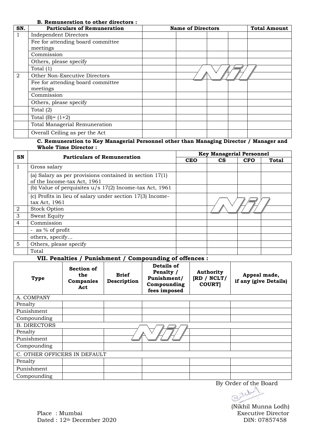#### **B. Remuneration to other directors :**

| SN. | <b>Particulars of Remuneration</b> | <b>Name of Directors</b> |  | <b>Total Amount</b> |
|-----|------------------------------------|--------------------------|--|---------------------|
|     | <b>Independent Directors</b>       |                          |  |                     |
|     | Fee for attending board committee  |                          |  |                     |
|     | meetings                           |                          |  |                     |
|     | Commission                         |                          |  |                     |
|     | Others, please specify             |                          |  |                     |
|     | Total $(1)$                        |                          |  |                     |
| 2   | Other Non-Executive Directors      |                          |  |                     |
|     | Fee for attending board committee  |                          |  |                     |
|     | meetings                           |                          |  |                     |
|     | Commission                         |                          |  |                     |
|     | Others, please specify             |                          |  |                     |
|     | Total $(2)$                        |                          |  |                     |
|     | Total $(B)=(1+2)$                  |                          |  |                     |
|     | Total Managerial Remuneration      |                          |  |                     |
|     | Overall Ceiling as per the Act     |                          |  |                     |

#### **C. Remuneration to Key Managerial Personnel other than Managing Director / Manager and Whole Time Director :**

|   | SN<br><b>Particulars of Remuneration</b>                                                 |            | <b>Key Managerial Personnel</b> |            |       |  |  |
|---|------------------------------------------------------------------------------------------|------------|---------------------------------|------------|-------|--|--|
|   |                                                                                          | <b>CEO</b> | <b>CS</b>                       | <b>CFO</b> | Total |  |  |
|   | Gross salary                                                                             |            |                                 |            |       |  |  |
|   | (a) Salary as per provisions contained in section $17(1)$<br>of the Income-tax Act, 1961 |            |                                 |            |       |  |  |
|   | (b) Value of perquisites $u/s$ 17(2) Income-tax Act, 1961                                |            |                                 |            |       |  |  |
|   | (c) Profits in lieu of salary under section 17(3) Income-<br>tax Act, 1961               |            |                                 |            |       |  |  |
| 2 | <b>Stock Option</b>                                                                      |            |                                 |            |       |  |  |
| 3 | Sweat Equity                                                                             |            |                                 |            |       |  |  |
| 4 | Commission                                                                               |            |                                 |            |       |  |  |
|   | - as $\%$ of profit                                                                      |            |                                 |            |       |  |  |
|   | others, specify                                                                          |            |                                 |            |       |  |  |
| 5 | Others, please specify                                                                   |            |                                 |            |       |  |  |
|   | Total                                                                                    |            |                                 |            |       |  |  |

#### **VII. Penalties / Punishment / Compounding of offences :**

| <b>Type</b>                  | Section of<br>the<br>Companies<br>Act | <b>Brief</b><br>Description | Details of<br>Penalty /<br>Punishment/<br>Compounding<br>fees imposed | <b>Authority</b><br>[RD / NCLT]<br><b>COURT</b> | Appeal made,<br>if any (give Details) |  |  |  |
|------------------------------|---------------------------------------|-----------------------------|-----------------------------------------------------------------------|-------------------------------------------------|---------------------------------------|--|--|--|
| A. COMPANY                   |                                       |                             |                                                                       |                                                 |                                       |  |  |  |
| Penalty                      |                                       |                             |                                                                       |                                                 |                                       |  |  |  |
| Punishment                   |                                       |                             |                                                                       |                                                 |                                       |  |  |  |
| Compounding                  |                                       |                             |                                                                       |                                                 |                                       |  |  |  |
| <b>B. DIRECTORS</b>          |                                       |                             |                                                                       |                                                 |                                       |  |  |  |
| Penalty                      |                                       |                             |                                                                       |                                                 |                                       |  |  |  |
| Punishment                   |                                       |                             |                                                                       |                                                 |                                       |  |  |  |
| Compounding                  |                                       |                             |                                                                       |                                                 |                                       |  |  |  |
| C. OTHER OFFICERS IN DEFAULT |                                       |                             |                                                                       |                                                 |                                       |  |  |  |
| Penalty                      |                                       |                             |                                                                       |                                                 |                                       |  |  |  |
| Punishment                   |                                       |                             |                                                                       |                                                 |                                       |  |  |  |
| Compounding                  |                                       |                             |                                                                       |                                                 |                                       |  |  |  |

By Order of the Board

(Nikhil Munna Lodh)

Place : Mumbai Executive Director Dated : 12<sup>th</sup> December 2020 DIN: 07857458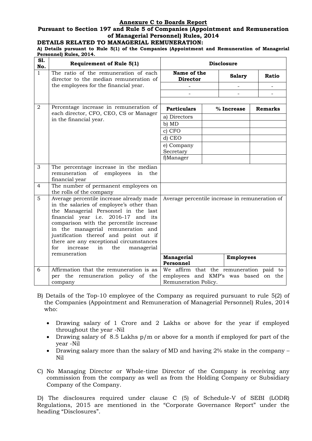#### **Annexure C to Boards Report**

#### **Pursuant to Section 197 and Rule 5 of Companies (Appointment and Remuneration of Managerial Personnel) Rules, 2014**

#### **DETAILS RELATED TO MANAGERIAL REMUNERATION:**

**A) Details pursuant to Rule 5(1) of the Companies (Appointment and Remuneration of Managerial Personnel) Rules, 2014.**

| S1.<br>No.     | <b>Requirement of Rule 5(1)</b>                                                                                                                                                                                                                                                                                                                                                                         | <b>Disclosure</b>                                                   |                  |                |
|----------------|---------------------------------------------------------------------------------------------------------------------------------------------------------------------------------------------------------------------------------------------------------------------------------------------------------------------------------------------------------------------------------------------------------|---------------------------------------------------------------------|------------------|----------------|
| $\mathbf{1}$   | The ratio of the remuneration of each<br>director to the median remuneration of                                                                                                                                                                                                                                                                                                                         | Name of the<br><b>Director</b>                                      | <b>Salary</b>    | <b>Ratio</b>   |
|                | the employees for the financial year.                                                                                                                                                                                                                                                                                                                                                                   |                                                                     |                  |                |
|                |                                                                                                                                                                                                                                                                                                                                                                                                         |                                                                     |                  |                |
|                |                                                                                                                                                                                                                                                                                                                                                                                                         |                                                                     |                  |                |
| $\overline{2}$ | Percentage increase in remuneration of<br>each director, CFO, CEO, CS or Manager                                                                                                                                                                                                                                                                                                                        | <b>Particulars</b>                                                  | % Increase       | <b>Remarks</b> |
|                | in the financial year.                                                                                                                                                                                                                                                                                                                                                                                  | a) Directors                                                        |                  |                |
|                |                                                                                                                                                                                                                                                                                                                                                                                                         | b) MD                                                               |                  |                |
|                |                                                                                                                                                                                                                                                                                                                                                                                                         | c) CFO                                                              |                  |                |
|                |                                                                                                                                                                                                                                                                                                                                                                                                         | d) CEO                                                              |                  |                |
|                |                                                                                                                                                                                                                                                                                                                                                                                                         | e) Company                                                          |                  |                |
|                |                                                                                                                                                                                                                                                                                                                                                                                                         | Secretary                                                           |                  |                |
|                |                                                                                                                                                                                                                                                                                                                                                                                                         | f)Manager                                                           |                  |                |
| 3              | The percentage increase in the median<br>remuneration<br>of<br>employees<br>the<br>in<br>financial year                                                                                                                                                                                                                                                                                                 |                                                                     |                  |                |
| $\overline{4}$ | The number of permanent employees on<br>the rolls of the company                                                                                                                                                                                                                                                                                                                                        |                                                                     |                  |                |
| 5              | Average percentile increase already made<br>in the salaries of employee's other than<br>the Managerial Personnel in the last<br>financial year i.e. 2016-17 and its<br>comparison with the percentile increase<br>in the managerial remuneration and<br>justification thereof and point out if<br>there are any exceptional circumstances<br>increase<br>for<br>the<br>in<br>managerial<br>remuneration | Average percentile increase in remuneration of<br><b>Managerial</b> | <b>Employees</b> |                |
|                |                                                                                                                                                                                                                                                                                                                                                                                                         | Personnel                                                           |                  |                |
| 6              | Affirmation that the remuneration is as                                                                                                                                                                                                                                                                                                                                                                 | We affirm that the remuneration paid to                             |                  |                |
|                | per the remuneration policy of the                                                                                                                                                                                                                                                                                                                                                                      | employees and KMP's was based on the                                |                  |                |
|                | company                                                                                                                                                                                                                                                                                                                                                                                                 | Remuneration Policy.                                                |                  |                |

- B) Details of the Top-10 employee of the Company as required pursuant to rule 5(2) of the Companies (Appointment and Remuneration of Managerial Personnel) Rules, 2014 who:
	- Drawing salary of 1 Crore and 2 Lakhs or above for the year if employed throughout the year -Nil
	- Drawing salary of 8.5 Lakhs p/m or above for a month if employed for part of the year -Nil
	- Drawing salary more than the salary of MD and having 2% stake in the company Nil
- C) No Managing Director or Whole-time Director of the Company is receiving any commission from the company as well as from the Holding Company or Subsidiary Company of the Company.

D) The disclosures required under clause C (5) of Schedule-V of SEBI (LODR) Regulations, 2015 are mentioned in the "Corporate Governance Report" under the heading "Disclosures".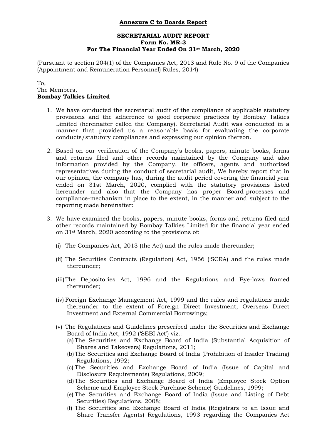#### **Annexure C to Boards Report**

#### **SECRETARIAL AUDIT REPORT Form No. MR-3 For The Financial Year Ended On 31st March, 2020**

(Pursuant to section 204(1) of the Companies Act, 2013 and Rule No. 9 of the Companies (Appointment and Remuneration Personnel) Rules, 2014)

#### To, The Members, **Bombay Talkies Limited**

- 1. We have conducted the secretarial audit of the compliance of applicable statutory provisions and the adherence to good corporate practices by Bombay Talkies Limited (hereinafter called the Company). Secretarial Audit was conducted in a manner that provided us a reasonable basis for evaluating the corporate conducts/statutory compliances and expressing our opinion thereon.
- 2. Based on our verification of the Company's books, papers, minute books, forms and returns filed and other records maintained by the Company and also information provided by the Company, its officers, agents and authorized representatives during the conduct of secretarial audit, We hereby report that in our opinion, the company has, during the audit period covering the financial year ended on 31st March, 2020, complied with the statutory provisions listed hereunder and also that the Company has proper Board-processes and compliance-mechanism in place to the extent, in the manner and subject to the reporting made hereinafter:
- 3. We have examined the books, papers, minute books, forms and returns filed and other records maintained by Bombay Talkies Limited for the financial year ended on 31st March, 2020 according to the provisions of:
	- (i) The Companies Act, 2013 (the Act) and the rules made thereunder;
	- (ii) The Securities Contracts (Regulation) Act, 1956 ('SCRA) and the rules made thereunder;
	- (iii)The Depositories Act, 1996 and the Regulations and Bye-laws framed thereunder;
	- (iv) Foreign Exchange Management Act, 1999 and the rules and regulations made thereunder to the extent of Foreign Direct Investment, Overseas Direct Investment and External Commercial Borrowings;
	- (v) The Regulations and Guidelines prescribed under the Securities and Exchange Board of India Act, 1992 ('SEBI Act') viz.:
		- (a) The Securities and Exchange Board of India (Substantial Acquisition of Shares and Takeovers) Regulations, 2011;
		- (b)The Securities and Exchange Board of India (Prohibition of Insider Trading) Regulations, 1992;
		- (c) The Securities and Exchange Board of India (Issue of Capital and Disclosure Requirements) Regulations, 2009;
		- (d)The Securities and Exchange Board of India (Employee Stock Option Scheme and Employee Stock Purchase Scheme) Guidelines, 1999;
		- (e) The Securities and Exchange Board of India (Issue and Listing of Debt Securities) Regulations. 2008;
		- (f) The Securities and Exchange Board of India (Registrars to an Issue and Share Transfer Agents) Regulations, 1993 regarding the Companies Act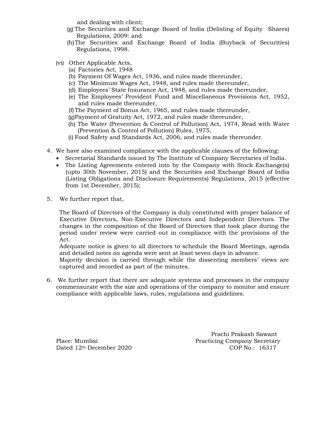and dealing with client;

- (g) The Securities and Exchange Board of India (Delisting of Equity Shares) Regulations, 2009: and
- (h)The Securities and Exchange Board of India (Buyback of Securities) Regulations, 1998.
- (vi) Other Applicable Acts,
	- (a) Factories Act, 1948
	- (b) Payment Of Wages Act, 1936, and rules made thereunder,
	- (c) The Minimum Wages Act, 1948, and rules made thereunder,
	- (d) Employees' State Insurance Act, 1948, and rules made thereunder,
	- (e) The Employees' Provident Fund and Miscellaneous Provisions Act, 1952, and rules made thereunder,
	- (f)The Payment of Bonus Act, 1965, and rules made thereunder,
	- (g)Payment of Gratuity Act, 1972, and rules made thereunder,
	- (h) The Water (Prevention & Control of Pollution) Act, 1974, Read with Water (Prevention & Control of Pollution) Rules, 1975,
	- (i) Food Safety and Standards Act, 2006, and rules made thereunder.
- 4. We have also examined compliance with the applicable clauses of the following:
	- Secretarial Standards issued by The Institute of Company Secretaries of India.
	- The Listing Agreements entered into by the Company with Stock Exchange(s) (upto 30th November, 2015) and the Securities and Exchange Board of India (Listing Obligations and Disclosure Requirements) Regulations, 2015 (effective from 1st December, 2015);
- 5. We further report that,

The Board of Directors of the Company is duly constituted with proper balance of Executive Directors, Non-Executive Directors and Independent Directors. The changes in the composition of the Board of Directors that took place during the period under review were carried out in compliance with the provisions of the Act.

Adequate notice is given to all directors to schedule the Board Meetings, agenda and detailed notes on agenda were sent at least seven days in advance.

Majority decision is carried through while the dissenting members' views are captured and recorded as part of the minutes.

6. We further report that there are adequate systems and processes in the company commensurate with the size and operations of the company to monitor and ensure compliance with applicable laws, rules, regulations and guidelines.

 Prachi Prakash Sawant Place: Mumbai Practicing Company Secretary Dated 12<sup>th</sup> December 2020 COP No.: 16317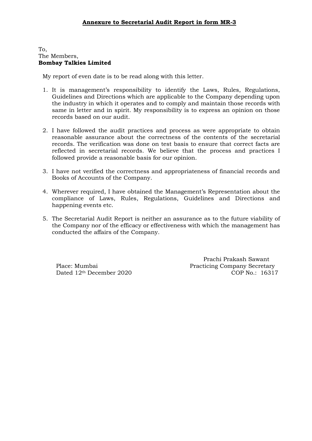#### To, The Members, **Bombay Talkies Limited**

My report of even date is to be read along with this letter.

- 1. It is management's responsibility to identify the Laws, Rules, Regulations, Guidelines and Directions which are applicable to the Company depending upon the industry in which it operates and to comply and maintain those records with same in letter and in spirit. My responsibility is to express an opinion on those records based on our audit.
- 2. I have followed the audit practices and process as were appropriate to obtain reasonable assurance about the correctness of the contents of the secretarial records. The verification was done on test basis to ensure that correct facts are reflected in secretarial records. We believe that the process and practices I followed provide a reasonable basis for our opinion.
- 3. I have not verified the correctness and appropriateness of financial records and Books of Accounts of the Company.
- 4. Wherever required, I have obtained the Management's Representation about the compliance of Laws, Rules, Regulations, Guidelines and Directions and happening events etc.
- 5. The Secretarial Audit Report is neither an assurance as to the future viability of the Company nor of the efficacy or effectiveness with which the management has conducted the affairs of the Company.

Dated 12th December 2020

 Prachi Prakash Sawant Place: Mumbai Practicing Company Secretary<br>Dated 12<sup>th</sup> December 2020 COP No.: 16317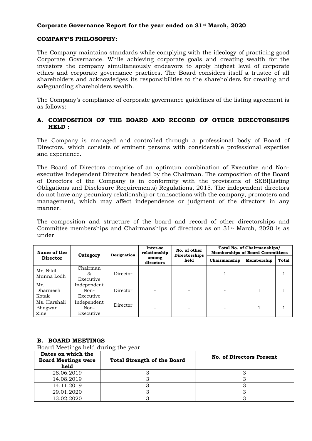#### **Corporate Governance Report for the year ended on 31st March, 2020**

#### **COMPANY'S PHILOSOPHY:**

The Company maintains standards while complying with the ideology of practicing good Corporate Governance. While achieving corporate goals and creating wealth for the investors the company simultaneously endeavors to apply highest level of corporate ethics and corporate governance practices. The Board considers itself a trustee of all shareholders and acknowledges its responsibilities to the shareholders for creating and safeguarding shareholders wealth.

The Company's compliance of corporate governance guidelines of the listing agreement is as follows:

#### **A. COMPOSITION OF THE BOARD AND RECORD OF OTHER DIRECTORSHIPS HELD :**

The Company is managed and controlled through a professional body of Board of Directors, which consists of eminent persons with considerable professional expertise and experience.

The Board of Directors comprise of an optimum combination of Executive and Nonexecutive Independent Directors headed by the Chairman. The composition of the Board of Directors of the Company is in conformity with the provisions of SEBI(Listing Obligations and Disclosure Requirements) Regulations, 2015. The independent directors do not have any pecuniary relationship or transactions with the company, promoters and management, which may affect independence or judgment of the directors in any manner.

The composition and structure of the board and record of other directorships and Committee memberships and Chairmanships of directors as on 31st March, 2020 is as under

| Name of the                     | Category                         | Designation | Inter-se<br>relationship | No. of other<br>Directorships | Total No. of Chairmanships/<br><b>Memberships of Board Committees</b> |            |              |  |
|---------------------------------|----------------------------------|-------------|--------------------------|-------------------------------|-----------------------------------------------------------------------|------------|--------------|--|
| <b>Director</b>                 |                                  |             | among<br>directors       | held                          | Chairmanship                                                          | Membership | <b>Total</b> |  |
| Mr. Nikil<br>Munna Lodh         | Chairman<br>&<br>Executive       | Director    |                          |                               |                                                                       |            |              |  |
| Mr.<br>Dharmesh<br>Kotak        | Independent<br>Non-<br>Executive | Director    |                          |                               |                                                                       |            |              |  |
| Ms. Harshali<br>Bhagwan<br>Zine | Independent<br>Non-<br>Executive | Director    |                          |                               |                                                                       |            |              |  |

#### **B. BOARD MEETINGS**

Board Meetings held during the year

| Dates on which the<br><b>Board Meetings were</b><br>held | <b>Total Strength of the Board</b> | <b>No. of Directors Present</b> |
|----------------------------------------------------------|------------------------------------|---------------------------------|
| 28.06.2019                                               |                                    |                                 |
| 14.08.2019                                               |                                    |                                 |
| 14.11.2019                                               |                                    |                                 |
| 29.01.2020                                               |                                    |                                 |
| 13.02.2020                                               |                                    |                                 |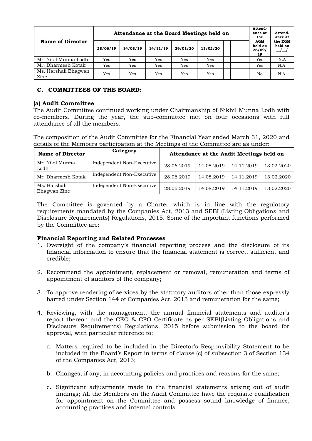|                              | Attendance at the Board Meetings held on |          |          |          |          |  | Attend-<br>ance at<br>the             | Attend-<br>ance at |
|------------------------------|------------------------------------------|----------|----------|----------|----------|--|---------------------------------------|--------------------|
| <b>Name of Director</b>      | 28/06/19                                 | 14/08/19 | 14/11/19 | 29/01/20 | 13/02/20 |  | <b>AGM</b><br>held on<br>26/09/<br>19 | the EGM<br>held on |
| Mr. Nikil Munna Lodh         | Yes                                      | Yes      | Yes      | Yes      | Yes      |  | Yes                                   | N.A                |
| Mr. Dharmesh Kotak           | Yes                                      | Yes      | Yes      | Yes      | Yes      |  | Yes                                   | N.A.               |
| Ms. Harshali Bhagwan<br>Zine | Yes                                      | Yes      | Yes      | Yes      | Yes      |  | No                                    | N.A.               |

#### **C. COMMITTEES OF THE BOARD:**

#### **(a) Audit Committee**

The Audit Committee continued working under Chairmanship of Nikhil Munna Lodh with co-members. During the year, the sub-committee met on four occasions with full attendance of all the members.

The composition of the Audit Committee for the Financial Year ended March 31, 2020 and details of the Members participation at the Meetings of the Committee are as under:

| <b>Name of Director</b>      | Category                  | Attendance at the Audit Meetings held on |            |            |            |
|------------------------------|---------------------------|------------------------------------------|------------|------------|------------|
| Mr. Nikil Munna<br>Lodh      | Independent Non-Executive | 28.06.2019                               | 14.08.2019 | 14.11.2019 | 13.02.2020 |
| Mr. Dharmesh Kotak           | Independent Non-Executive | 28.06.2019                               | 14.08.2019 | 14.11.2019 | 13.02.2020 |
| Ms. Harshali<br>Bhagwan Zine | Independent Non-Executive | 28.06.2019                               | 14.08.2019 | 14.11.2019 | 13.02.2020 |

The Committee is governed by a Charter which is in line with the regulatory requirements mandated by the Companies Act, 2013 and SEBI (Listing Obligations and Disclosure Requirements) Regulations, 2015. Some of the important functions performed by the Committee are:

#### **Financial Reporting and Related Processes**

- 1. Oversight of the company's financial reporting process and the disclosure of its financial information to ensure that the financial statement is correct, sufficient and credible;
- 2. Recommend the appointment, replacement or removal, remuneration and terms of appointment of auditors of the company;
- 3. To approve rendering of services by the statutory auditors other than those expressly barred under Section 144 of Companies Act, 2013 and remuneration for the same;
- 4. Reviewing, with the management, the annual financial statements and auditor's report thereon and the CEO & CFO Certificate as per SEBI(Listing Obligations and Disclosure Requirements) Regulations, 2015 before submission to the board for approval, with particular reference to:
	- a. Matters required to be included in the Director's Responsibility Statement to be included in the Board's Report in terms of clause (c) of subsection 3 of Section 134 of the Companies Act, 2013;
	- b. Changes, if any, in accounting policies and practices and reasons for the same;
	- c. Significant adjustments made in the financial statements arising out of audit findings; All the Members on the Audit Committee have the requisite qualification for appointment on the Committee and possess sound knowledge of finance, accounting practices and internal controls.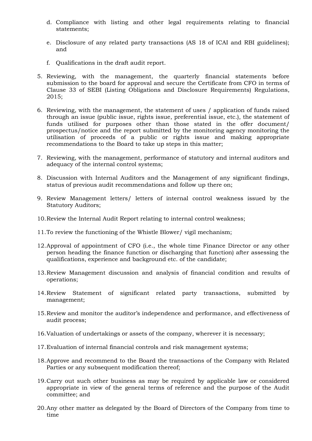- d. Compliance with listing and other legal requirements relating to financial statements;
- e. Disclosure of any related party transactions (AS 18 of ICAI and RBI guidelines); and
- f. Qualifications in the draft audit report.
- 5. Reviewing, with the management, the quarterly financial statements before submission to the board for approval and secure the Certificate from CFO in terms of Clause 33 of SEBI (Listing Obligations and Disclosure Requirements) Regulations, 2015;
- 6. Reviewing, with the management, the statement of uses / application of funds raised through an issue (public issue, rights issue, preferential issue, etc.), the statement of funds utilised for purposes other than those stated in the offer document/ prospectus/notice and the report submitted by the monitoring agency monitoring the utilisation of proceeds of a public or rights issue and making appropriate recommendations to the Board to take up steps in this matter;
- 7. Reviewing, with the management, performance of statutory and internal auditors and adequacy of the internal control systems;
- 8. Discussion with Internal Auditors and the Management of any significant findings, status of previous audit recommendations and follow up there on;
- 9. Review Management letters/ letters of internal control weakness issued by the Statutory Auditors;
- 10.Review the Internal Audit Report relating to internal control weakness;
- 11.To review the functioning of the Whistle Blower/ vigil mechanism;
- 12.Approval of appointment of CFO (i.e., the whole time Finance Director or any other person heading the finance function or discharging that function) after assessing the qualifications, experience and background etc. of the candidate;
- 13.Review Management discussion and analysis of financial condition and results of operations;
- 14.Review Statement of significant related party transactions, submitted by management;
- 15.Review and monitor the auditor's independence and performance, and effectiveness of audit process;
- 16.Valuation of undertakings or assets of the company, wherever it is necessary;
- 17.Evaluation of internal financial controls and risk management systems;
- 18.Approve and recommend to the Board the transactions of the Company with Related Parties or any subsequent modification thereof;
- 19.Carry out such other business as may be required by applicable law or considered appropriate in view of the general terms of reference and the purpose of the Audit committee; and
- 20.Any other matter as delegated by the Board of Directors of the Company from time to time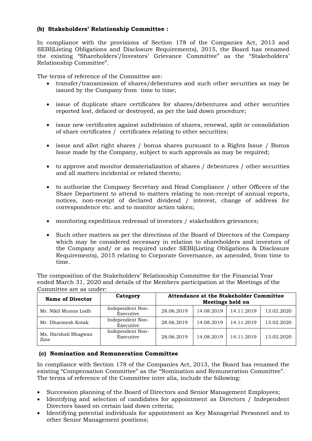### **(b) Stakeholders' Relationship Committee :**

In compliance with the provisions of Section 178 of the Companies Act, 2013 and SEBI(Listing Obligations and Disclosure Requirements), 2015, the Board has renamed the existing "Shareholders'/Investors' Grievance Committee" as the "Stakeholders' Relationship Committee".

The terms of reference of the Committee are:

- transfer/transmission of shares/debentures and such other securities as may be issued by the Company from time to time;
- issue of duplicate share certificates for shares/debentures and other securities reported lost, defaced or destroyed, as per the laid down procedure;
- issue new certificates against subdivision of shares, renewal, split or consolidation of share certificates / certificates relating to other securities;
- issue and allot right shares / bonus shares pursuant to a Rights Issue / Bonus Issue made by the Company, subject to such approvals as may be required;
- to approve and monitor dematerialization of shares / debentures / other securities and all matters incidental or related thereto;
- to authorize the Company Secretary and Head Compliance / other Officers of the Share Department to attend to matters relating to non-receipt of annual reports, notices, non-receipt of declared dividend / interest, change of address for correspondence etc. and to monitor action taken;
- monitoring expeditious redressal of investors / stakeholders grievances;
- Such other matters as per the directions of the Board of Directors of the Company which may be considered necessary in relation to shareholders and investors of the Company and/ or as required under SEBI(Listing Obligations & Disclosure Requirements), 2015 relating to Corporate Governance, as amended, from time to time.

The composition of the Stakeholders' Relationship Committee for the Financial Year ended March 31, 2020 and details of the Members participation at the Meetings of the Committee are as under:

| <b>Name of Director</b>      | Category                      | Attendance at the Stakeholder Committee<br>Meetings held on |            |            |            |
|------------------------------|-------------------------------|-------------------------------------------------------------|------------|------------|------------|
| Mr. Nikil Munna Lodh         | Independent Non-<br>Executive | 28.06.2019                                                  | 14.08.2019 | 14.11.2019 | 13.02.2020 |
| Mr. Dharmesh Kotak           | Independent Non-<br>Executive | 28.06.2019                                                  | 14.08.2019 | 14.11.2019 | 13.02.2020 |
| Ms. Harshali Bhagwan<br>Zine | Independent Non-<br>Executive | 28.06.2019                                                  | 14.08.2019 | 14.11.2019 | 13.02.2020 |

#### **(c) Nomination and Remuneration Committee**

In compliance with Section 178 of the Companies Act, 2013, the Board has renamed the existing "Compensation Committee" as the "Nomination and Remuneration Committee". The terms of reference of the Committee inter alia, include the following:

- Succession planning of the Board of Directors and Senior Management Employees;
- Identifying and selection of candidates for appointment as Directors / Independent Directors based on certain laid down criteria;
- Identifying potential individuals for appointment as Key Managerial Personnel and to other Senior Management positions;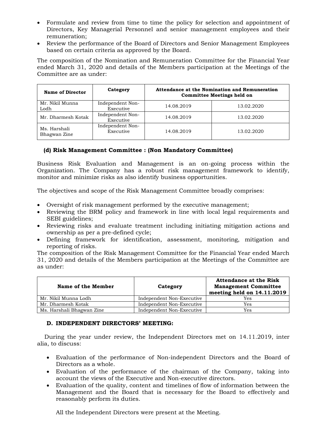- Formulate and review from time to time the policy for selection and appointment of Directors, Key Managerial Personnel and senior management employees and their remuneration;
- Review the performance of the Board of Directors and Senior Management Employees based on certain criteria as approved by the Board.

The composition of the Nomination and Remuneration Committee for the Financial Year ended March 31, 2020 and details of the Members participation at the Meetings of the Committee are as under:

| <b>Name of Director</b>      | Category                      | Attendance at the Nomination and Remuneration<br><b>Committee Meetings held on</b> |            |  |
|------------------------------|-------------------------------|------------------------------------------------------------------------------------|------------|--|
| Mr. Nikil Munna<br>Lodh      | Independent Non-<br>Executive | 14.08.2019                                                                         | 13.02.2020 |  |
| Mr. Dharmesh Kotak           | Independent Non-<br>Executive | 14.08.2019                                                                         | 13.02.2020 |  |
| Ms. Harshali<br>Bhagwan Zine | Independent Non-<br>Executive | 14.08.2019                                                                         | 13.02.2020 |  |

#### **(d) Risk Management Committee : (Non Mandatory Committee)**

Business Risk Evaluation and Management is an on-going process within the Organization. The Company has a robust risk management framework to identify, monitor and minimize risks as also identify business opportunities.

The objectives and scope of the Risk Management Committee broadly comprises:

- Oversight of risk management performed by the executive management;
- Reviewing the BRM policy and framework in line with local legal requirements and SEBI guidelines;
- Reviewing risks and evaluate treatment including initiating mitigation actions and ownership as per a pre-defined cycle;
- Defining framework for identification, assessment, monitoring, mitigation and reporting of risks.

The composition of the Risk Management Committee for the Financial Year ended March 31, 2020 and details of the Members participation at the Meetings of the Committee are as under:

| Name of the Member        | Category                  | <b>Attendance at the Risk</b><br><b>Management Committee</b><br>meeting held on 14.11.2019 |
|---------------------------|---------------------------|--------------------------------------------------------------------------------------------|
| Mr. Nikil Munna Lodh      | Independent Non-Executive | Yes                                                                                        |
| Mr. Dharmesh Kotak        | Independent Non-Executive | Yes                                                                                        |
| Ms. Harshali Bhagwan Zine | Independent Non-Executive | Yes                                                                                        |

#### **D. INDEPENDENT DIRECTORS' MEETING:**

 During the year under review, the Independent Directors met on 14.11.2019, inter alia, to discuss:

- Evaluation of the performance of Non-independent Directors and the Board of Directors as a whole.
- Evaluation of the performance of the chairman of the Company, taking into account the views of the Executive and Non-executive directors.
- Evaluation of the quality, content and timelines of flow of information between the Management and the Board that is necessary for the Board to effectively and reasonably perform its duties.

All the Independent Directors were present at the Meeting.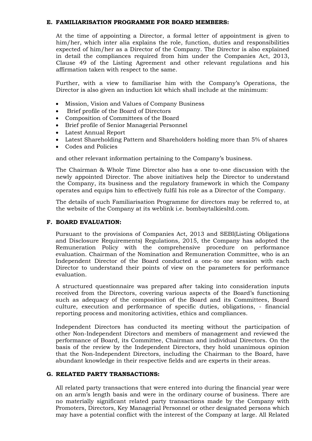#### **E. FAMILIARISATION PROGRAMME FOR BOARD MEMBERS:**

At the time of appointing a Director, a formal letter of appointment is given to him/her, which inter alia explains the role, function, duties and responsibilities expected of him/her as a Director of the Company. The Director is also explained in detail the compliances required from him under the Companies Act, 2013, Clause 49 of the Listing Agreement and other relevant regulations and his affirmation taken with respect to the same.

Further, with a view to familiarise him with the Company's Operations, the Director is also given an induction kit which shall include at the minimum:

- Mission, Vision and Values of Company Business
- Brief profile of the Board of Directors
- Composition of Committees of the Board
- Brief profile of Senior Managerial Personnel
- Latest Annual Report
- Latest Shareholding Pattern and Shareholders holding more than 5% of shares
- Codes and Policies

and other relevant information pertaining to the Company's business.

The Chairman & Whole Time Director also has a one to-one discussion with the newly appointed Director. The above initiatives help the Director to understand the Company, its business and the regulatory framework in which the Company operates and equips him to effectively fulfil his role as a Director of the Company.

The details of such Familiarisation Programme for directors may be referred to, at the website of the Company at its weblink i.e. bombaytalkiesltd.com.

#### **F. BOARD EVALUATION:**

Pursuant to the provisions of Companies Act, 2013 and SEBI(Listing Obligations and Disclosure Requirements) Regulations, 2015, the Company has adopted the Remuneration Policy with the comprehensive procedure on performance evaluation. Chairman of the Nomination and Remuneration Committee, who is an Independent Director of the Board conducted a one-to one session with each Director to understand their points of view on the parameters for performance evaluation.

A structured questionnaire was prepared after taking into consideration inputs received from the Directors, covering various aspects of the Board's functioning such as adequacy of the composition of the Board and its Committees, Board culture, execution and performance of specific duties, obligations, - financial reporting process and monitoring activities, ethics and compliances.

Independent Directors has conducted its meeting without the participation of other Non-Independent Directors and members of management and reviewed the performance of Board, its Committee, Chairman and individual Directors. On the basis of the review by the Independent Directors, they hold unanimous opinion that the Non-Independent Directors, including the Chairman to the Board, have abundant knowledge in their respective fields and are experts in their areas.

#### **G. RELATED PARTY TRANSACTIONS:**

All related party transactions that were entered into during the financial year were on an arm's length basis and were in the ordinary course of business. There are no materially significant related party transactions made by the Company with Promoters, Directors, Key Managerial Personnel or other designated persons which may have a potential conflict with the interest of the Company at large. All Related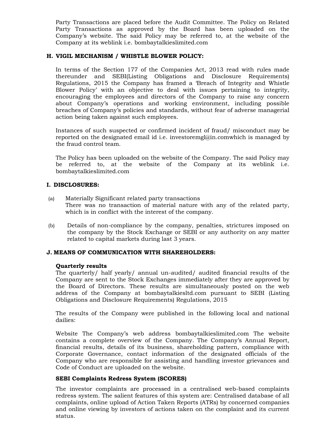Party Transactions are placed before the Audit Committee. The Policy on Related Party Transactions as approved by the Board has been uploaded on the Company's website. The said Policy may be referred to, at the website of the Company at its weblink i.e. bombaytalkieslimited.com

#### **H. VIGIL MECHANISM / WHISTLE BLOWER POLICY:**

In terms of the Section 177 of the Companies Act, 2013 read with rules made thereunder and SEBI(Listing Obligations and Disclosure Requirements) Regulations, 2015 the Company has framed a 'Breach of Integrity and Whistle Blower Policy' with an objective to deal with issues pertaining to integrity, encouraging the employees and directors of the Company to raise any concern about Company's operations and working environment, including possible breaches of Company's policies and standards, without fear of adverse managerial action being taken against such employees.

Instances of such suspected or confirmed incident of fraud/ misconduct may be reported on the designated email id i.e. investoremgl@in.comwhich is managed by the fraud control team.

The Policy has been uploaded on the website of the Company. The said Policy may be referred to, at the website of the Company at its weblink i.e. bombaytalkieslimited.com

#### **I. DISCLOSURES:**

- (a) Materially Significant related party transactions There was no transaction of material nature with any of the related party, which is in conflict with the interest of the company.
- (b) Details of non-compliance by the company, penalties, strictures imposed on the company by the Stock Exchange or SEBI or any authority on any matter related to capital markets during last 3 years.

#### **J. MEANS OF COMMUNICATION WITH SHAREHOLDERS:**

#### **Quarterly results**

The quarterly/ half yearly/ annual un-audited/ audited financial results of the Company are sent to the Stock Exchanges immediately after they are approved by the Board of Directors. These results are simultaneously posted on the web address of the Company at bombaytalkiesltd.com pursuant to SEBI (Listing Obligations and Disclosure Requirements) Regulations, 2015

The results of the Company were published in the following local and national dailies:

Website The Company's web address bombaytalkieslimited.com The website contains a complete overview of the Company. The Company's Annual Report, financial results, details of its business, shareholding pattern, compliance with Corporate Governance, contact information of the designated officials of the Company who are responsible for assisting and handling investor grievances and Code of Conduct are uploaded on the website.

#### **SEBI Complaints Redress System (SCORES)**

The investor complaints are processed in a centralised web-based complaints redress system. The salient features of this system are: Centralised database of all complaints, online upload of Action Taken Reports (ATRs) by concerned companies and online viewing by investors of actions taken on the complaint and its current status.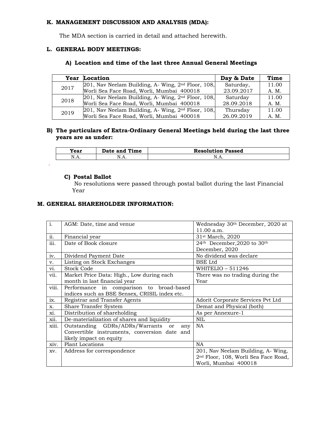#### **K. MANAGEMENT DISCUSSION AND ANALYSIS (MDA):**

The MDA section is carried in detail and attached herewith.

#### **L. GENERAL BODY MEETINGS:**

# **A) Location and time of the last three Annual General Meetings**

|      | Year Location                                           | Day & Date | Time  |
|------|---------------------------------------------------------|------------|-------|
| 2017 | $[201,$ Nav Neelam Building, A- Wing, $2nd$ Floor, 108, | Saturday,  | 11.00 |
|      | Worli Sea Face Road, Worli, Mumbai 400018               | 23.09.2017 | A. M. |
| 2018 | $[201,$ Nav Neelam Building, A- Wing, $2nd$ Floor, 108, | Saturday   | 11.00 |
|      | Worli Sea Face Road, Worli, Mumbai 400018               | 28.09.2018 | A. M. |
| 2019 | $[201,$ Nav Neelam Building, A- Wing, $2nd$ Floor, 108, | Thursday   | 11.00 |
|      | Worli Sea Face Road, Worli, Mumbai 400018               | 26.09.2019 | A. M. |

#### **B) The particulars of Extra-Ordinary General Meetings held during the last three years are as under:**

| Year      | Date and Time | <b>Resolution Passed</b> |
|-----------|---------------|--------------------------|
| 1 V . I 1 | N.A.          | 14.LL.                   |

#### **C) Postal Ballot**

.

 No resolutions were passed through postal ballot during the last Financial Year

#### **M. GENERAL SHAREHOLDER INFORMATION:**

| $\overline{i}$ . | AGM: Date, time and venue                     | Wednesday 30th December, 2020 at                 |
|------------------|-----------------------------------------------|--------------------------------------------------|
|                  |                                               | 11.00 a.m.                                       |
| ii.              | Financial year                                | 31 <sup>st</sup> March, 2020                     |
| iii.             | Date of Book closure                          | 24th December, 2020 to 30th                      |
|                  |                                               | December, 2020                                   |
| iv.              | Dividend Payment Date                         | No dividend was declare                          |
| v.               | Listing on Stock Exchanges                    | <b>BSE</b> Ltd                                   |
| vi.              | Stock Code                                    | WHITELIO $-511246$                               |
| vii.             | Market Price Data: High., Low during each     | There was no trading during the                  |
|                  | month in last financial year                  | Year                                             |
| viii.            | Performance in comparison to broad-based      |                                                  |
|                  | indices such as BSE Sensex, CRISIL index etc. |                                                  |
| ix.              | Registrar and Transfer Agents                 | Adorit Corporate Services Pvt Ltd                |
| X.               | Share Transfer System                         | Demat and Physical (both)                        |
| xi.              | Distribution of shareholding                  | As per Annexure-1                                |
| xii.             | De-materialization of shares and liquidity    | NIL                                              |
| xiii.            | Outstanding GDRs/ADRs/Warrants or<br>any      | NA.                                              |
|                  | Convertible instruments, conversion date and  |                                                  |
|                  | likely impact on equity                       |                                                  |
| xiv.             | <b>Plant Locations</b>                        | NA                                               |
| XV.              | Address for correspondence                    | 201, Nav Neelam Building, A- Wing,               |
|                  |                                               | 2 <sup>nd</sup> Floor, 108, Worli Sea Face Road, |
|                  |                                               | Worli, Mumbai 400018                             |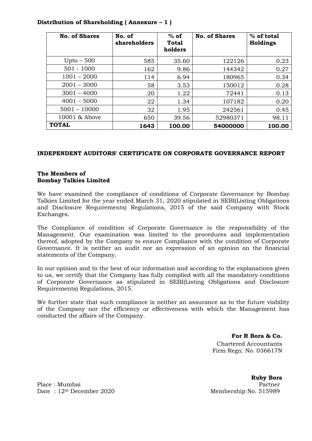| <b>No. of Shares</b> | No. of<br>shareholders | $%$ of<br><b>Total</b><br>holders | <b>No. of Shares</b> | % of total<br>Holdings |
|----------------------|------------------------|-----------------------------------|----------------------|------------------------|
| $Upto - 500$         | 585                    | 35.60                             | 122126               | 0.23                   |
| $501 - 1000$         | 162                    | 9.86                              | 144342               | 0.27                   |
| $1001 - 2000$        | 114                    | 6.94                              | 180965               | 0.34                   |
| $2001 - 3000$        | 58                     | 3.53                              | 150012               | 0.28                   |
| $3001 - 4000$        | 20                     | 1.22                              | 72441                | 0.13                   |
| $4001 - 5000$        | 22                     | 1.34                              | 107182               | 0.20                   |
| $5001 - 10000$       | 32                     | 1.95                              | 242561               | 0.45                   |
| 10001 & Above        | 650                    | 39.56                             | 52980371             | 98.11                  |
| <b>TOTAL</b>         | 1643                   | 100.00                            | 54000000             | 100.00                 |

### **Distribution of Shareholding ( Annexure – 1 )**

#### **INDEPENDENT AUDITORS' CERTIFICATE ON CORPORATE GOVERNANCE REPORT**

#### **The Members of Bombay Talkies Limited**

We have examined the compliance of conditions of Corporate Governance by Bombay Talkies Limited for the year ended March 31, 2020 stipulated in SEBI(Listing Obligations and Disclosure Requirements) Regulations, 2015 of the said Company with Stock Exchanges.

The Compliance of condition of Corporate Governance is the responsibility of the Management. Our examination was limited to the procedures and implementation thereof, adopted by the Company to ensure Compliance with the condition of Corporate Governance. It is neither an audit nor an expression of an opinion on the financial statements of the Company.

In our opinion and to the best of our information and according to the explanations given to us, we certify that the Company has fully complied with all the mandatory conditions of Corporate Governance as stipulated in SEBI(Listing Obligations and Disclosure Requirements) Regulations, 2015.

We further state that such compliance is neither an assurance as to the future viability of the Company nor the efficiency or effectiveness with which the Management has conducted the affairs of the Company.

> **For R Bora & Co.** Chartered Accountants Firm Regn. No. 036617N

Place : Mumbai Partner : Partner : Partner : Partner : Partner : Partner : Partner : Partner : Partner : Partner : Partner : Partner : Partner : Partner : Partner : Partner : Partner : Partner : Partner : Partner : Partner Date:  $12<sup>th</sup>$  December 2020 Membership No. 515989

**Ruby Bora**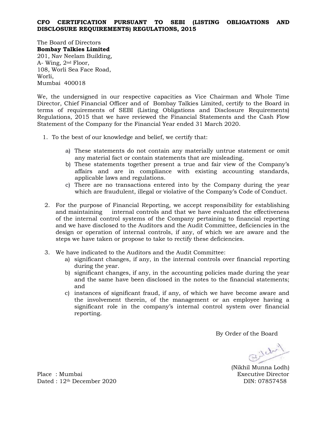#### **CFO CERTIFICATION PURSUANT TO SEBI (LISTING OBLIGATIONS AND DISCLOSURE REQUIREMENTS) REGULATIONS, 2015**

The Board of Directors **Bombay Talkies Limited** 201, Nav Neelam Building, A- Wing, 2nd Floor, 108, Worli Sea Face Road, Worli, Mumbai 400018

We, the undersigned in our respective capacities as Vice Chairman and Whole Time Director, Chief Financial Officer and of Bombay Talkies Limited, certify to the Board in terms of requirements of SEBI (Listing Obligations and Disclosure Requirements) Regulations, 2015 that we have reviewed the Financial Statements and the Cash Flow Statement of the Company for the Financial Year ended 31 March 2020.

- 1. To the best of our knowledge and belief, we certify that:
	- a) These statements do not contain any materially untrue statement or omit any material fact or contain statements that are misleading.
	- b) These statements together present a true and fair view of the Company's affairs and are in compliance with existing accounting standards, applicable laws and regulations.
	- c) There are no transactions entered into by the Company during the year which are fraudulent, illegal or violative of the Company's Code of Conduct.
- 2. For the purpose of Financial Reporting, we accept responsibility for establishing and maintaining internal controls and that we have evaluated the effectiveness of the internal control systems of the Company pertaining to financial reporting and we have disclosed to the Auditors and the Audit Committee, deficiencies in the design or operation of internal controls, if any, of which we are aware and the steps we have taken or propose to take to rectify these deficiencies.
- 3. We have indicated to the Auditors and the Audit Committee:
	- a) significant changes, if any, in the internal controls over financial reporting during the year.
	- b) significant changes, if any, in the accounting policies made during the year and the same have been disclosed in the notes to the financial statements; and
	- c) instances of significant fraud, if any, of which we have become aware and the involvement therein, of the management or an employee having a significant role in the company's internal control system over financial reporting.

By Order of the Board

Billy

(Nikhil Munna Lodh)

Place : Mumbai Executive Director Dated : 12<sup>th</sup> December 2020 DIN: 07857458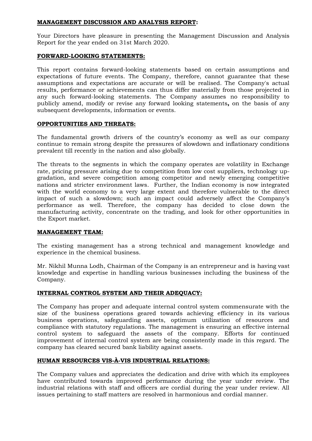#### **MANAGEMENT DISCUSSION AND ANALYSIS REPORT:**

Your Directors have pleasure in presenting the Management Discussion and Analysis Report for the year ended on 31st March 2020.

#### **FORWARD-LOOKING STATEMENTS:**

This report contains forward-looking statements based on certain assumptions and expectations of future events. The Company, therefore, cannot guarantee that these assumptions and expectations are accurate or will be realised. The Company's actual results, performance or achievements can thus differ materially from those projected in any such forward-looking statements. The Company assumes no responsibility to publicly amend, modify or revise any forward looking statements**,** on the basis of any subsequent developments, information or events.

#### **OPPORTUNITIES AND THREATS:**

The fundamental growth drivers of the country's economy as well as our company continue to remain strong despite the pressures of slowdown and inflationary conditions prevalent till recently in the nation and also globally.

The threats to the segments in which the company operates are volatility in Exchange rate, pricing pressure arising due to competition from low cost suppliers, technology upgradation, and severe competition among competitor and newly emerging competitive nations and stricter environment laws. Further, the Indian economy is now integrated with the world economy to a very large extent and therefore vulnerable to the direct impact of such a slowdown; such an impact could adversely affect the Company's performance as well. Therefore, the company has decided to close down the manufacturing activity, concentrate on the trading, and look for other opportunities in the Export market.

#### **MANAGEMENT TEAM:**

The existing management has a strong technical and management knowledge and experience in the chemical business.

Mr. Nikhil Munna Lodh, Chairman of the Company is an entrepreneur and is having vast knowledge and expertise in handling various businesses including the business of the Company.

#### **INTERNAL CONTROL SYSTEM AND THEIR ADEQUACY:**

The Company has proper and adequate internal control system commensurate with the size of the business operations geared towards achieving efficiency in its various business operations, safeguarding assets, optimum utilization of resources and compliance with statutory regulations. The management is ensuring an effective internal control system to safeguard the assets of the company. Efforts for continued improvement of internal control system are being consistently made in this regard. The company has cleared secured bank liability against assets.

#### **HUMAN RESOURCES VIS-À-VIS INDUSTRIAL RELATIONS:**

The Company values and appreciates the dedication and drive with which its employees have contributed towards improved performance during the year under review. The industrial relations with staff and officers are cordial during the year under review. All issues pertaining to staff matters are resolved in harmonious and cordial manner.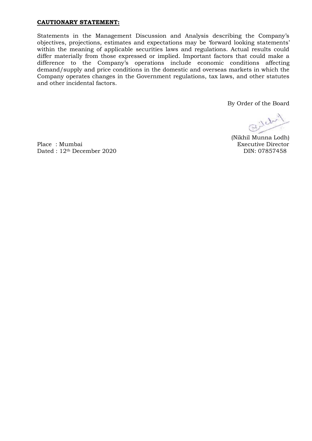#### **CAUTIONARY STATEMENT:**

Statements in the Management Discussion and Analysis describing the Company's objectives, projections, estimates and expectations may be 'forward looking statements' within the meaning of applicable securities laws and regulations. Actual results could differ materially from those expressed or implied. Important factors that could make a difference to the Company's operations include economic conditions affecting demand/supply and price conditions in the domestic and overseas markets in which the Company operates changes in the Government regulations, tax laws, and other statutes and other incidental factors.

By Order of the Board

Billy

(Nikhil Munna Lodh)

Place : Mumbai Executive Director Dated : 12<sup>th</sup> December 2020 DIN: 07857458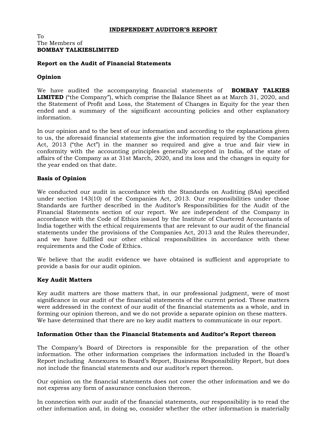#### **INDEPENDENT AUDITOR'S REPORT**

#### To The Members of **BOMBAY TALKIESLIMITED**

#### **Report on the Audit of Financial Statements**

#### **Opinion**

We have audited the accompanying financial statements of **BOMBAY TALKIES LIMITED** ("the Company"), which comprise the Balance Sheet as at March 31, 2020, and the Statement of Profit and Loss, the Statement of Changes in Equity for the year then ended and a summary of the significant accounting policies and other explanatory information.

In our opinion and to the best of our information and according to the explanations given to us, the aforesaid financial statements give the information required by the Companies Act, 2013 ("the Act") in the manner so required and give a true and fair view in conformity with the accounting principles generally accepted in India, of the state of affairs of the Company as at 31st March, 2020, and its loss and the changes in equity for the year ended on that date.

#### **Basis of Opinion**

We conducted our audit in accordance with the Standards on Auditing (SAs) specified under section 143(10) of the Companies Act, 2013. Our responsibilities under those Standards are further described in the Auditor's Responsibilities for the Audit of the Financial Statements section of our report. We are independent of the Company in accordance with the Code of Ethics issued by the Institute of Chartered Accountants of India together with the ethical requirements that are relevant to our audit of the financial statements under the provisions of the Companies Act, 2013 and the Rules thereunder, and we have fulfilled our other ethical responsibilities in accordance with these requirements and the Code of Ethics.

We believe that the audit evidence we have obtained is sufficient and appropriate to provide a basis for our audit opinion.

#### **Key Audit Matters**

Key audit matters are those matters that, in our professional judgment, were of most significance in our audit of the financial statements of the current period. These matters were addressed in the context of our audit of the financial statements as a whole, and in forming our opinion thereon, and we do not provide a separate opinion on these matters. We have determined that there are no key audit matters to communicate in our report.

#### **Information Other than the Financial Statements and Auditor's Report thereon**

The Company's Board of Directors is responsible for the preparation of the other information. The other information comprises the information included in the Board's Report including Annexures to Board's Report, Business Responsibility Report, but does not include the financial statements and our auditor's report thereon.

Our opinion on the financial statements does not cover the other information and we do not express any form of assurance conclusion thereon.

In connection with our audit of the financial statements, our responsibility is to read the other information and, in doing so, consider whether the other information is materially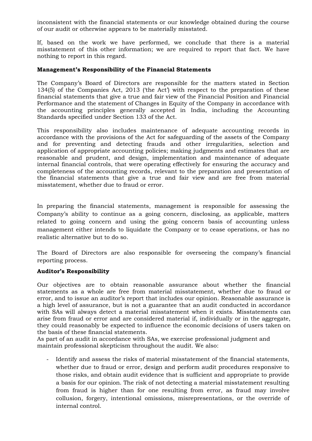inconsistent with the financial statements or our knowledge obtained during the course of our audit or otherwise appears to be materially misstated.

If, based on the work we have performed, we conclude that there is a material misstatement of this other information; we are required to report that fact. We have nothing to report in this regard.

#### **Management's Responsibility of the Financial Statements**

The Company's Board of Directors are responsible for the matters stated in Section 134(5) of the Companies Act, 2013 ('the Act') with respect to the preparation of these financial statements that give a true and fair view of the Financial Position and Financial Performance and the statement of Changes in Equity of the Company in accordance with the accounting principles generally accepted in India, including the Accounting Standards specified under Section 133 of the Act.

This responsibility also includes maintenance of adequate accounting records in accordance with the provisions of the Act for safeguarding of the assets of the Company and for preventing and detecting frauds and other irregularities, selection and application of appropriate accounting policies; making judgments and estimates that are reasonable and prudent, and design, implementation and maintenance of adequate internal financial controls, that were operating effectively for ensuring the accuracy and completeness of the accounting records, relevant to the preparation and presentation of the financial statements that give a true and fair view and are free from material misstatement, whether due to fraud or error.

In preparing the financial statements, management is responsible for assessing the Company's ability to continue as a going concern, disclosing, as applicable, matters related to going concern and using the going concern basis of accounting unless management either intends to liquidate the Company or to cease operations, or has no realistic alternative but to do so.

The Board of Directors are also responsible for overseeing the company's financial reporting process.

#### **Auditor's Responsibility**

Our objectives are to obtain reasonable assurance about whether the financial statements as a whole are free from material misstatement, whether due to fraud or error, and to issue an auditor's report that includes our opinion. Reasonable assurance is a high level of assurance, but is not a guarantee that an audit conducted in accordance with SAs will always detect a material misstatement when it exists. Misstatements can arise from fraud or error and are considered material if, individually or in the aggregate, they could reasonably be expected to influence the economic decisions of users taken on the basis of these financial statements.

As part of an audit in accordance with SAs, we exercise professional judgment and maintain professional skepticism throughout the audit. We also:

- Identify and assess the risks of material misstatement of the financial statements, whether due to fraud or error, design and perform audit procedures responsive to those risks, and obtain audit evidence that is sufficient and appropriate to provide a basis for our opinion. The risk of not detecting a material misstatement resulting from fraud is higher than for one resulting from error, as fraud may involve collusion, forgery, intentional omissions, misrepresentations, or the override of internal control.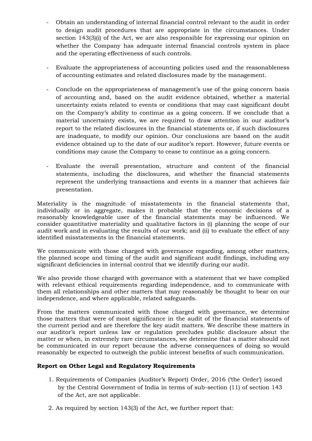- Obtain an understanding of internal financial control relevant to the audit in order to design audit procedures that are appropriate in the circumstances. Under section 143(3)(i) of the Act, we are also responsible for expressing our opinion on whether the Company has adequate internal financial controls system in place and the operating effectiveness of such controls.
- Evaluate the appropriateness of accounting policies used and the reasonableness of accounting estimates and related disclosures made by the management.
- Conclude on the appropriateness of management's use of the going concern basis of accounting and, based on the audit evidence obtained, whether a material uncertainty exists related to events or conditions that may cast significant doubt on the Company's ability to continue as a going concern. If we conclude that a material uncertainty exists, we are required to draw attention in our auditor's report to the related disclosures in the financial statements or, if such disclosures are inadequate, to modify our opinion. Our conclusions are based on the audit evidence obtained up to the date of our auditor's report. However, future events or conditions may cause the Company to cease to continue as a going concern.
- Evaluate the overall presentation, structure and content of the financial statements, including the disclosures, and whether the financial statements represent the underlying transactions and events in a manner that achieves fair presentation.

Materiality is the magnitude of misstatements in the financial statements that, individually or in aggregate, makes it probable that the economic decisions of a reasonably knowledgeable user of the financial statements may be influenced. We consider quantitative materiality and qualitative factors in (i) planning the scope of our audit work and in evaluating the results of our work; and (ii) to evaluate the effect of any identified misstatements in the financial statements.

We communicate with those charged with governance regarding, among other matters, the planned scope and timing of the audit and significant audit findings, including any significant deficiencies in internal control that we identify during our audit.

We also provide those charged with governance with a statement that we have complied with relevant ethical requirements regarding independence, and to communicate with them all relationships and other matters that may reasonably be thought to bear on our independence, and where applicable, related safeguards.

From the matters communicated with those charged with governance, we determine those matters that were of most significance in the audit of the financial statements of the current period and are therefore the key audit matters. We describe these matters in our auditor's report unless law or regulation precludes public disclosure about the matter or when, in extremely rare circumstances, we determine that a matter should not be communicated in our report because the adverse consequences of doing so would reasonably be expected to outweigh the public interest benefits of such communication.

#### **Report on Other Legal and Regulatory Requirements**

- 1. Requirements of Companies (Auditor's Report) Order, 2016 ('the Order') issued by the Central Government of India in terms of sub-section (11) of section 143 of the Act, are not applicable.
- 2. As required by section 143(3) of the Act, we further report that: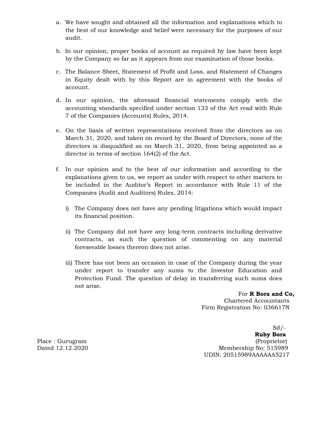- a. We have sought and obtained all the information and explanations which to the best of our knowledge and belief were necessary for the purposes of our audit.
- b. In our opinion, proper books of account as required by law have been kept by the Company so far as it appears from our examination of those books.
- c. The Balance Sheet, Statement of Profit and Loss, and Statement of Changes in Equity dealt with by this Report are in agreement with the books of account.
- d. In our opinion, the aforesaid financial statements comply with the accounting standards specified under section 133 of the Act read with Rule 7 of the Companies (Accounts) Rules, 2014.
- e. On the basis of written representations received from the directors as on March 31, 2020, and taken on record by the Board of Directors, none of the directors is disqualified as on March 31, 2020, from being appointed as a director in terms of section 164(2) of the Act.
- f. In our opinion and to the best of our information and according to the explanations given to us, we report as under with respect to other matters to be included in the Auditor's Report in accordance with Rule 11 of the Companies (Audit and Auditors) Rules, 2014:
	- i) The Company does not have any pending litigations which would impact its financial position.
	- ii) The Company did not have any long-term contracts including derivative contracts, as such the question of commenting on any material foreseeable losses thereon does not arise.
	- iii) There has not been an occasion in case of the Company during the year under report to transfer any sums to the Investor Education and Protection Fund. The question of delay in transferring such sums does not arise.

 For **R Bora and Co,** Chartered Accountants Firm Registration No: 036617N

Sd/- **Ruby Bora** Place : Gurugram (Proprietor) Dated 12.12.2020 Membership No: 515989 UDIN: 20515989AAAAAA5217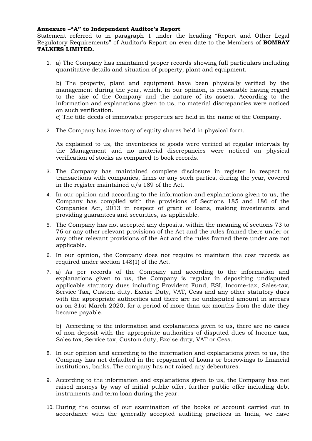#### **Annexure –"A" to Independent Auditor's Report**

Statement referred to in paragraph 1 under the heading "Report and Other Legal Regulatory Requirements" of Auditor's Report on even date to the Members of **BOMBAY TALKIES LIMITED.**

1. a) The Company has maintained proper records showing full particulars including quantitative details and situation of property, plant and equipment.

b) The property, plant and equipment have been physically verified by the management during the year, which, in our opinion, is reasonable having regard to the size of the Company and the nature of its assets. According to the information and explanations given to us, no material discrepancies were noticed on such verification.

c) The title deeds of immovable properties are held in the name of the Company.

2. The Company has inventory of equity shares held in physical form.

As explained to us, the inventories of goods were verified at regular intervals by the Management and no material discrepancies were noticed on physical verification of stocks as compared to book records.

- 3. The Company has maintained complete disclosure in register in respect to transactions with companies, firms or any such parties, during the year, covered in the register maintained u/s 189 of the Act.
- 4. In our opinion and according to the information and explanations given to us, the Company has complied with the provisions of Sections 185 and 186 of the Companies Act, 2013 in respect of grant of loans, making investments and providing guarantees and securities, as applicable.
- 5. The Company has not accepted any deposits, within the meaning of sections 73 to 76 or any other relevant provisions of the Act and the rules framed there under or any other relevant provisions of the Act and the rules framed there under are not applicable.
- 6. In our opinion, the Company does not require to maintain the cost records as required under section 148(1) of the Act.
- 7. a) As per records of the Company and according to the information and explanations given to us, the Company is regular in depositing undisputed applicable statutory dues including Provident Fund, ESI, Income-tax, Sales-tax, Service Tax, Custom duty, Excise Duty, VAT, Cess and any other statutory dues with the appropriate authorities and there are no undisputed amount in arrears as on 31st March 2020, for a period of more than six months from the date they became payable.

b) According to the information and explanations given to us, there are no cases of non deposit with the appropriate authorities of disputed dues of Income tax, Sales tax, Service tax, Custom duty, Excise duty, VAT or Cess.

- 8. In our opinion and according to the information and explanations given to us, the Company has not defaulted in the repayment of Loans or borrowings to financial institutions, banks. The company has not raised any debentures.
- 9. According to the information and explanations given to us, the Company has not raised moneys by way of initial public offer, further public offer including debt instruments and term loan during the year.
- 10. During the course of our examination of the books of account carried out in accordance with the generally accepted auditing practices in India, we have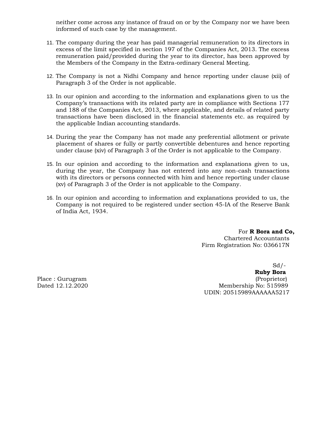neither come across any instance of fraud on or by the Company nor we have been informed of such case by the management.

- 11. The company during the year has paid managerial remuneration to its directors in excess of the limit specified in section 197 of the Companies Act, 2013. The excess remuneration paid/provided during the year to its director, has been approved by the Members of the Company in the Extra-ordinary General Meeting.
- 12. The Company is not a Nidhi Company and hence reporting under clause (xii) of Paragraph 3 of the Order is not applicable.
- 13. In our opinion and according to the information and explanations given to us the Company's transactions with its related party are in compliance with Sections 177 and 188 of the Companies Act, 2013, where applicable, and details of related party transactions have been disclosed in the financial statements etc. as required by the applicable Indian accounting standards.
- 14. During the year the Company has not made any preferential allotment or private placement of shares or fully or partly convertible debentures and hence reporting under clause (xiv) of Paragraph 3 of the Order is not applicable to the Company.
- 15. In our opinion and according to the information and explanations given to us, during the year, the Company has not entered into any non-cash transactions with its directors or persons connected with him and hence reporting under clause (xv) of Paragraph 3 of the Order is not applicable to the Company.
- 16. In our opinion and according to information and explanations provided to us, the Company is not required to be registered under section 45-IA of the Reserve Bank of India Act, 1934.

For **R Bora and Co,** Chartered Accountants Firm Registration No: 036617N

Sd/-

**Ruby Bora** Place : Gurugram (Proprietor) (Proprietor) (Proprietor) (Proprietor) (Proprietor) (Proprietor) (Proprietor) (Proprietor) (Proprietor) (Proprietor) (Proprietor) (Proprietor) (Proprietor) (Proprietor) (Proprietor) (Proprieto Dated 12.12.2020 Membership No: 515989 UDIN: 20515989AAAAAA5217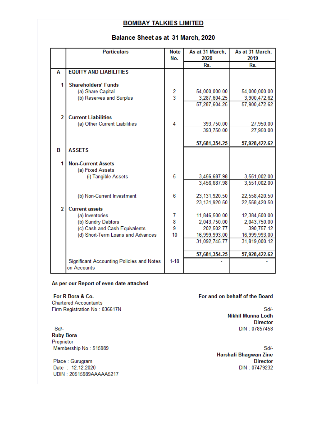# Balance Sheet as at 31 March, 2020

|                | <b>Particulars</b>                               | <b>Note</b>   | As at 31 March, | As at 31 March, |
|----------------|--------------------------------------------------|---------------|-----------------|-----------------|
|                |                                                  | No.           | 2020            | 2019            |
|                |                                                  |               | Rs.             | Rs.             |
| А              | <b>EQUITY AND LIABILITIES</b>                    |               |                 |                 |
|                |                                                  |               |                 |                 |
|                | <b>Shareholders' Funds</b>                       |               |                 |                 |
|                | (a) Share Capital                                | $\frac{2}{3}$ | 54,000,000.00   | 54,000,000.00   |
|                | (b) Reserves and Surplus                         |               | 3,287,604.25    | 3,900,472.62    |
|                |                                                  |               | 57,287,604.25   | 57,900,472.62   |
| $\overline{2}$ | <b>Current Liabilities</b>                       |               |                 |                 |
|                | (a) Other Current Liabilities                    | 4             | 393,750.00      | 27,950.00       |
|                |                                                  |               | 393,750.00      | 27,950.00       |
|                |                                                  |               |                 |                 |
|                |                                                  |               | 57,681,354.25   | 57,928,422.62   |
| В              | <b>ASSETS</b>                                    |               |                 |                 |
|                |                                                  |               |                 |                 |
|                | <b>Non-Current Assets</b>                        |               |                 |                 |
|                | (a) Fixed Assets                                 |               |                 |                 |
|                | (i) Tangible Assets                              | 5             | 3,456,687.98    | 3,551,002.00    |
|                |                                                  |               | 3,456,687.98    | 3,551,002.00    |
|                |                                                  |               |                 |                 |
|                | (b) Non-Current Investment                       | 6             | 23, 131, 920.50 | 22,558,420.50   |
| $\overline{2}$ | <b>Current assets</b>                            |               | 23,131,920.50   | 22,558,420.50   |
|                | (a) Inventories                                  | 7             | 11,846,500.00   | 12,384,500.00   |
|                | (b) Sundry Debtors                               | 8             | 2,043,750.00    | 2,043,750.00    |
|                | (c) Cash and Cash Equivalents                    | 9             | 202,502.77      | 390,757.12      |
|                | (d) Short-Term Loans and Advances                | 10            | 16,999,993.00   | 16,999,993.00   |
|                |                                                  |               | 31,092,745.77   | 31,819,000.12   |
|                |                                                  |               |                 |                 |
|                |                                                  |               | 57,681,354.25   | 57,928,422.62   |
|                | <b>Significant Accounting Policies and Notes</b> | $1 - 18$      |                 |                 |
|                | on Accounts                                      |               |                 |                 |

#### As per our Report of even date attached

#### For R Bora & Co.

**Chartered Accountants** Firm Registration No: 036617N

Sd/-**Ruby Bora** Proprietor Membership No: 515989

Place: Gurugram Date: 12.12.2020 UDIN: 20515989AAAAA5217

#### For and on behalf of the Board

 $Sd/-$ Nikhil Munna Lodh **Director** DIN: 07857458

Sd/-Harshali Bhagwan Zine **Director** DIN: 07479232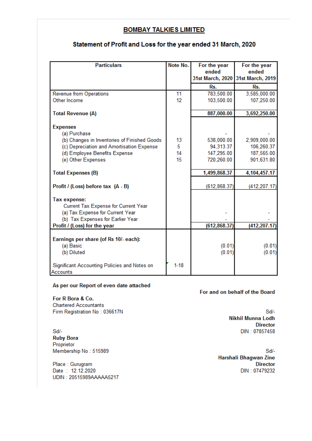### Statement of Profit and Loss for the year ended 31 March, 2020

| <b>Particulars</b>                                                                                                                   | Note No.        | For the year<br>ended<br>31st March, 2020 | For the year<br>ended<br>31st March, 2019 |
|--------------------------------------------------------------------------------------------------------------------------------------|-----------------|-------------------------------------------|-------------------------------------------|
|                                                                                                                                      |                 | Rs.                                       | Rs.                                       |
| <b>Revenue from Operations</b>                                                                                                       | 11              | 783,500.00                                | 3,585,000.00                              |
| Other Income                                                                                                                         | 12 <sup>2</sup> | 103,500.00                                | 107,250.00                                |
| <b>Total Revenue (A)</b>                                                                                                             |                 | 887,000.00                                | 3,692,250.00                              |
| <b>Expenses</b><br>(a) Purchase                                                                                                      |                 |                                           |                                           |
| (b) Changes in Inventories of Finished Goods                                                                                         | 13              | 538,000.00                                | 2,909,000.00                              |
| (c) Depreciation and Amortisation Expense                                                                                            | 5               | 94,313.37                                 | 106,260.37                                |
| (d) Employee Benefits Expense                                                                                                        | 14              | 147,295.00                                | 187,565.00                                |
| (e) Other Expenses                                                                                                                   | 15              | 720,260.00                                | 901,631.80                                |
| <b>Total Expenses (B)</b>                                                                                                            |                 | 1,499,868.37                              | 4,104,457.17                              |
| Profit / (Loss) before tax (A - B)                                                                                                   |                 | (612, 868.37)                             | (412, 207.17)                             |
| <b>Tax expense:</b><br>Current Tax Expense for Current Year<br>(a) Tax Expense for Current Year<br>(b) Tax Expenses for Earlier Year |                 |                                           |                                           |
| Profit / (Loss) for the year                                                                                                         |                 | (612, 868.37)                             | (412,207.17                               |
| Earnings per share (of Rs 10/- each):<br>(a) Basic<br>(b) Diluted                                                                    |                 | (0.01)<br>(0.01)                          | (0.01)<br>(0.01)                          |
| Significant Accounting Policies and Notes on<br>Accounts                                                                             | $1 - 18$        |                                           |                                           |

#### As per our Report of even date attached

For R Bora & Co.

**Chartered Accountants** Firm Registration No: 036617N

Sd/-**Ruby Bora** Proprietor Membership No: 515989

Place: Gurugram Date: 12.12.2020 UDIN: 20515989AAAAA5217

#### For and on behalf of the Board

Sd/-**Nikhil Munna Lodh Director** DIN: 07857458

Sd/-Harshali Bhagwan Zine **Director** DIN: 07479232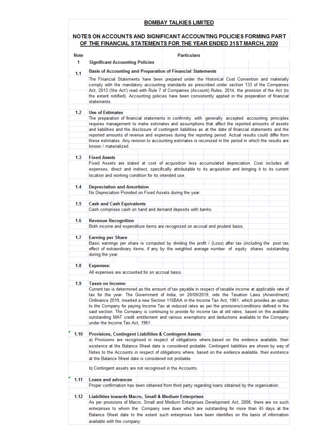#### NOTES ON ACCOUNTS AND SIGNIFICANT ACCOUNTING POLICIES FORMING PART OF THE FINANCIAL STATEMENTS FOR THE YEAR ENDED 31ST MARCH, 2020

| <b>Note</b> | <b>Particulars</b>                                                                                                                                                                                                                                                                                                                                                                                                                                                                                                                                                                                                                                                          |
|-------------|-----------------------------------------------------------------------------------------------------------------------------------------------------------------------------------------------------------------------------------------------------------------------------------------------------------------------------------------------------------------------------------------------------------------------------------------------------------------------------------------------------------------------------------------------------------------------------------------------------------------------------------------------------------------------------|
| 1           | <b>Significant Accounting Policies</b>                                                                                                                                                                                                                                                                                                                                                                                                                                                                                                                                                                                                                                      |
| 1.1         | <b>Basis of Accounting and Preparation of Financial Statements</b>                                                                                                                                                                                                                                                                                                                                                                                                                                                                                                                                                                                                          |
|             | The Financial Statements have been prepared under the Historical Cost Convention and materially<br>comply with the mandatory accounting standards as prescribed under section 133 of the Companies<br>Act, 2013 ('the Act') read with Rule 7 of Companies (Account) Rules, 2014, the provision of the Act (to<br>the extent notified). Accounting policies have been consistently applied in the preperation of financial<br>statements.                                                                                                                                                                                                                                    |
| 1.2         | <b>Use of Estimates</b>                                                                                                                                                                                                                                                                                                                                                                                                                                                                                                                                                                                                                                                     |
|             | The preparation of financial statements in confirmity with generally accepted accounting principles<br>requires management to make estimates and assumptions that affect the reported amounts of assets<br>and liabilities and the disclosure of contingent liabilities as at the date of financial statements and the<br>reported amounts of revenue and expenses during the reporting period. Actual results could differ from<br>these estimates. Any revision to accounting estimates is reconized in the period in which the results are<br>known / materialized.                                                                                                      |
| 1.3         | <b>Fixed Assets</b>                                                                                                                                                                                                                                                                                                                                                                                                                                                                                                                                                                                                                                                         |
|             | Fixed Assets are stated at cost of acquisition less accumulated depreciation. Cost includes all<br>expenses, direct and indirect, specifically attributable to its acquisition and bringing it to its current<br>location and working condition for its intended use.                                                                                                                                                                                                                                                                                                                                                                                                       |
| 1.4         | <b>Depreciation and Amortision</b><br>No Depreciation Provided on Fixed Assets during the year.                                                                                                                                                                                                                                                                                                                                                                                                                                                                                                                                                                             |
| 1.5         | <b>Cash and Cash Equivalents</b><br>Cash comprises cash on hand and demand deposits with banks.                                                                                                                                                                                                                                                                                                                                                                                                                                                                                                                                                                             |
| 1.6         | <b>Revenue Recognition</b><br>Both income and expenditure items are recognized on accrual and prudent basis.                                                                                                                                                                                                                                                                                                                                                                                                                                                                                                                                                                |
| 1.7         | <b>Earning per Share</b><br>Basic earnings per share is computed by dividing the profit / (Loss) after tax (including the post tax<br>effect of extraordinary items, if any by the weighted average number of equity shares outstanding<br>during the year.                                                                                                                                                                                                                                                                                                                                                                                                                 |
| 1.8         | <b>Expenses:</b>                                                                                                                                                                                                                                                                                                                                                                                                                                                                                                                                                                                                                                                            |
|             | All expenses are accounted for on accrual basis.                                                                                                                                                                                                                                                                                                                                                                                                                                                                                                                                                                                                                            |
| 1.9         | <b>Taxes on Income:</b>                                                                                                                                                                                                                                                                                                                                                                                                                                                                                                                                                                                                                                                     |
|             | Current tax is determined as the amount of tax payable in respect of taxable income at applicable rate of<br>tax for the year. The Government of India, on 20/09/2019, vide the Taxation Laws (Amendment)<br>Ordinance 2019, inserted a new Section 115BAA in the Income Tax Act, 1961, which provides an option<br>to the Company for paying Income Tax at reduced rates as per the provisions/conditions defined in the<br>said section. The Company is continuing to provide for income tax at old rates, based on the available<br>outstanding MAT credit entitlement and various exemptions and deductions available to the Company<br>under the Income Tax Act, 1961. |
| 1.10        | Provisions, Contingent Liabilities & Contingent Assets:<br>a) Provisions are recognised in respect of obligations where, based on the evidence available, their<br>existence at the Balance Sheet date is considered probable. Contingent liabilities are shown by way of<br>Notes to the Accounts in respect of obligations where, based on the evidence available, their existence<br>at the Balance Sheet date is considered not probable.                                                                                                                                                                                                                               |
|             | b) Contingent assets are not recognised in the Accounts.                                                                                                                                                                                                                                                                                                                                                                                                                                                                                                                                                                                                                    |
| 1.11        | <b>Loans and advances</b><br>Proper confirmation has been obtained from third party regarding loans obtained by the organisation.                                                                                                                                                                                                                                                                                                                                                                                                                                                                                                                                           |
| 1.12        | Liabilities towards Macro, Small & Medium Enterprises<br>As per provisions of Macro, Small and Medium Enterprises Development Act, 2006, there are no such<br>enterprises to whom the Company owe dues which are outstanding for more than 45 days at the<br>Balance Sheet date to the extent such enterprises have been identifies on the basis of information<br>available with the company.                                                                                                                                                                                                                                                                              |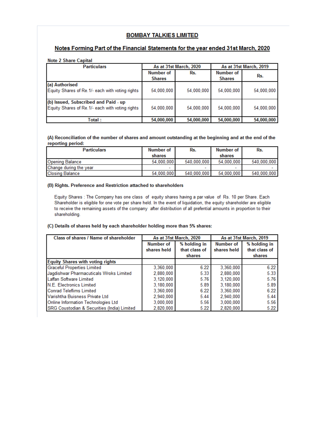#### Notes Forming Part of the Financial Statements for the year ended 31st March, 2020

#### **Note 2 Share Capital**

| <b>Particulars</b>                                                                      | As at 31st March, 2020     |            | As at 31st March, 2019     |            |
|-----------------------------------------------------------------------------------------|----------------------------|------------|----------------------------|------------|
|                                                                                         | Number of<br><b>Shares</b> | Rs.        | Number of<br><b>Shares</b> | Rs.        |
| (a) Authorised<br>Equity Shares of Re.1/- each with voting rights                       | 54,000,000                 | 54,000,000 | 54,000,000                 | 54,000,000 |
| (b) Issued, Subscribed and Paid - up<br>Equity Shares of Re.1/- each with voting rights | 54,000,000                 | 54,000,000 | 54.000.000                 | 54,000,000 |
| Total :                                                                                 | 54,000,000                 | 54,000,000 | 54,000,000                 | 54,000,000 |

#### (A) Reconciliation of the number of shares and amount outstanding at the beginning and at the end of the reporting period:

| <b>Particulars</b>     | Number of  | Rs.         | Number of  | Rs.         |
|------------------------|------------|-------------|------------|-------------|
|                        | shares     |             | shares     |             |
| <b>Opening Balance</b> | 54.000.000 | 540.000.000 | 54.000.000 | 540.000.000 |
| Change during the year |            | $\sim$      |            |             |
| <b>Closing Balance</b> | 54,000,000 | 540,000,000 | 54.000.000 | 540,000,000 |

#### (B) Rights. Preference and Restriction attached to shareholders

Equity Shares : The Company has one class of equity shares having a par value of Rs. 10 per Share. Each Shareholder is eligible for one vote per share held. In the event of liquidation, the equity shareholder are eligible to receive the remaining assets of the company after distribution of all prefential amounts in proportion to their shareholding.

#### (C) Details of shares held by each shareholder holding more than 5% shares:

| Class of shares / Name of shareholder       | As at 31st March, 2020 |               | As at 31st March, 2019 |               |
|---------------------------------------------|------------------------|---------------|------------------------|---------------|
|                                             | Number of              | % holding in  | Number of              | % holding in  |
|                                             | shares held            | that class of | shares held            | that class of |
|                                             |                        | shares        |                        | shares        |
| <b>Equity Shares with voting rights</b>     |                        |               |                        |               |
| <b>Graceful Properties Limited</b>          | 3,360,000              | 6.22          | 3,360,000              | 6.22          |
| Jagdishwar Pharmacuticals Wroks Limited     | 2.880.000              | 5.33          | 2.880.000              | 5.33          |
| Laffan Software Limited                     | 3.120.000              | 5.76          | 3,120,000              | 5.76          |
| N.E. Electronics Limited                    | 3.180.000              | 5.89          | 3.180.000              | 5.89          |
| <b>Conrad Teleflims Limited</b>             | 3.360.000              | 6.22          | 3.360.000              | 6.22          |
| Varishtha Buisness Private Ltd              | 2.940.000              | 5.44          | 2.940.000              | 5.44          |
| Online Information Technologies Ltd         | 3,000,000              | 5.56          | 3,000,000              | 5.56          |
| SRG Coustodian & Securities (India) Limited | 2,820,000              | 5.22          | 2.820.000              | 5.22          |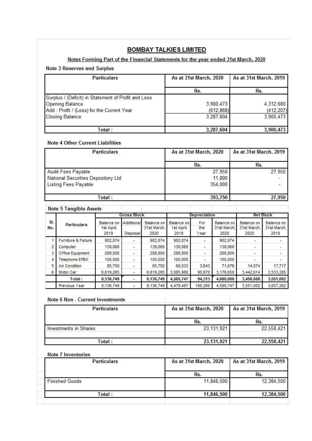#### Notes Forming Part of the Financial Statements for the year ended 31st March, 2020

#### **Note 3 Reserves and Surplus**

| <b>Particulars</b>                                  | As at 31st March, 2020 | As at 31st March, 2019 |
|-----------------------------------------------------|------------------------|------------------------|
|                                                     | Rs.                    | Rs.                    |
| Surplus / (Deficit) in Statement of Profit and Loss |                        |                        |
| <b>Opening Balance</b>                              | 3,900,473              | 4,312,680              |
| Add : Profit / (Loss) for the Current Year          | (612, 868)             | (412, 207)             |
| <b>Closing Balance</b>                              | 3,287,604              | 3,900,473              |
|                                                     |                        |                        |
| <b>Total:</b>                                       | 3,287,604              | 3,900,473              |

#### **Note 4 Other Current Liabilities**

| <b>Particulars</b>                 | As at 31st March, 2020 | As at 31st March, 2019 |  |
|------------------------------------|------------------------|------------------------|--|
|                                    | Rs.                    | Rs.                    |  |
| <b>Audit Fees Payable</b>          | 27,950                 | 27,950                 |  |
| National Securities Depository Ltd | 11,800                 |                        |  |
| <b>Listing Fees Payable</b>        | 354,000                |                        |  |
|                                    |                        |                        |  |
| <b>Total:</b>                      | 393,750                | 27,950                 |  |

|            | <b>Note 5 Tangible Assets</b> |                                  |                          |                                   |                                  |                          |                                  |                                   |                                   |
|------------|-------------------------------|----------------------------------|--------------------------|-----------------------------------|----------------------------------|--------------------------|----------------------------------|-----------------------------------|-----------------------------------|
|            |                               |                                  | <b>Gross Block</b>       |                                   | <b>Depreciation</b>              |                          | <b>Net Block</b>                 |                                   |                                   |
| SI.<br>No. | <b>Particulars</b>            | Balance on<br>1st April,<br>2019 | Additions/<br>Disposal   | Balance on<br>31st March.<br>2020 | Balance on<br>1st April,<br>2019 | For<br>the<br>Year       | Balance on<br>31st March<br>2020 | Balance on<br>31st March.<br>2020 | Balance on<br>31st March.<br>2019 |
|            | Furniture & Fixture           | 902.874                          | ۰                        | 902,874                           | 902,874                          |                          | 902.874                          | ۰                                 |                                   |
| 2          | Computer                      | 139,060                          | ۰                        | 139,060                           | 139,060                          | $\overline{\phantom{0}}$ | 139,060                          | $\overline{\phantom{a}}$          |                                   |
| 3          | Office Equipment              | 289,800                          | $\overline{\phantom{a}}$ | 289,800                           | 289,800                          |                          | 289,800                          | ۰                                 |                                   |
| 4          | Telephone EPBX                | 100,000                          | $\overline{\phantom{0}}$ | 100,000                           | 100,000                          |                          | 100,000                          |                                   |                                   |
| 5          | Air Condition                 | 85.750                           | ٠                        | 85.750                            | 68,033                           | 3,643                    | 71,676                           | 14,074                            | 17,717                            |
| 6          | Motor Car                     | 6,619,265                        | ۰                        | 6,619,265                         | 3,085,980                        | 90,670                   | 3,176,650                        | 3,442,614                         | 3,533,285                         |
|            | Total:                        | 8,136,749                        | ٠                        | 8,136,749                         | 4,585,747                        | 94,313                   | 4,680,060                        | 3,456,688                         | 3,551,002                         |
|            | Previous Year                 | 8,136,749                        |                          | 8,136,749                         | 4,479,487                        | 106,260                  | 4,585,747                        | 3,551,002                         | 3,657,262                         |

#### **Note 6 Non - Current Investments**

| <b>Particulars</b>    | As at 31st March, 2020 | As at 31st March, 2019 |
|-----------------------|------------------------|------------------------|
|                       | Rs.                    | Rs.                    |
| Investments in Shares | 23, 131, 921           | 22,558,421             |
| Total:                | 23,131,921             | 22,558,421             |

 $\overline{\phantom{a}}$ 

#### **Note 7 Inventories**

| <b>Particulars</b>    | As at 31st March, 2020 | As at 31st March, 2019 |  |
|-----------------------|------------------------|------------------------|--|
|                       | Rs.                    | Rs.                    |  |
| <b>Finished Goods</b> | 11,846,500             | 12,384,500             |  |
| Total :               | 11,846,500             | 12,384,500             |  |
|                       |                        |                        |  |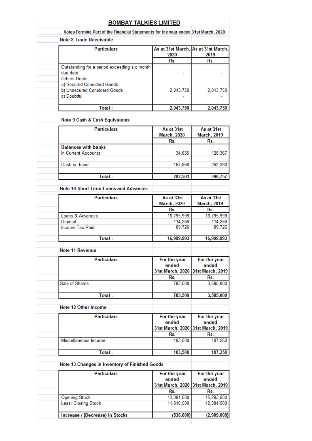| <b>BOMBAY TALKIES LIMITED</b>                                                      |                                             |                           |
|------------------------------------------------------------------------------------|---------------------------------------------|---------------------------|
| Notes Forming Part of the Financial Statements for the year ended 31st March, 2020 |                                             |                           |
| Note 8 Trade Receivable                                                            |                                             |                           |
| <b>Particulars</b>                                                                 | As at 31st March, As at 31st March,<br>2020 | 2019                      |
|                                                                                    | Rs.                                         | Rs.                       |
| Outstanding for a period exceeding six month                                       |                                             |                           |
| due date                                                                           |                                             |                           |
| <b>Others Debts</b>                                                                |                                             |                           |
| a) Secured Considerd Goods                                                         |                                             |                           |
| b) Unsecured Considerd Goods<br>c) Doubtful                                        | 2,043,750                                   | 2,043,750                 |
|                                                                                    |                                             |                           |
| Total:                                                                             | 2,043,750                                   | 2,043,750                 |
| <b>Note 9 Cash &amp; Cash Equivalents</b>                                          |                                             |                           |
| <b>Particulars</b>                                                                 | As at 31st                                  | As at 31st                |
|                                                                                    | <b>March, 2020</b>                          | <b>March, 2019</b>        |
|                                                                                    | Rs.                                         | Rs.                       |
| <b>Balances with banks</b>                                                         |                                             |                           |
| In Current Accounts                                                                | 34,635                                      | 128,367                   |
|                                                                                    |                                             |                           |
| Cash on hand                                                                       | 167,868                                     | 262,390                   |
| Total:                                                                             | 202,503                                     | 390,757                   |
| <b>Note 10 Short Term Loans and Advances</b>                                       |                                             |                           |
| <b>Particulars</b>                                                                 | As at 31st                                  | As at 31st                |
|                                                                                    | <b>March, 2020</b>                          | <b>March, 2019</b>        |
|                                                                                    | Rs.                                         | Rs.                       |
| Loans & Advances                                                                   | 16,795,999                                  | 16,795,999                |
| Deposit                                                                            | 114,268                                     | 114,268                   |
| Income Tax Paid                                                                    | 89,726                                      | 89,726                    |
| Total:                                                                             | 16,999,993                                  | 16,999,993                |
| <b>Note 11 Revenue</b>                                                             |                                             |                           |
|                                                                                    |                                             |                           |
| <b>Particulars</b>                                                                 | For the year                                | For the year              |
|                                                                                    | ended<br>31st March, 2020                   | ended<br>31st March, 2019 |
|                                                                                    | Rs.                                         | Rs.                       |
| Sale of Shares                                                                     | 783,500                                     | 3,585,000                 |
|                                                                                    |                                             |                           |
| Total:                                                                             | 783,500                                     | 3,585,000                 |
| Note 12 Other Income                                                               |                                             |                           |
| <b>Particulars</b>                                                                 | For the year                                | For the year              |
|                                                                                    | ended                                       | ended                     |
|                                                                                    | 31st March, 2020                            | 31st March, 2019          |
|                                                                                    | Rs.                                         | Rs.                       |
| Miscellaneous Income                                                               | 103,500                                     | 107,250                   |
| Total:                                                                             | 103,500                                     | 107,250                   |
| Note 13 Changes in Inventory of Finished Goods                                     |                                             |                           |
| <b>Particulars</b>                                                                 | For the year<br>ended                       | For the year<br>ended     |
|                                                                                    | 31st March, 2020                            | 31st March, 2019          |
|                                                                                    | Rs.                                         | Rs.                       |
| <b>Opening Stock</b>                                                               | 12,384,500                                  | 15,293,500                |
| Less: Closing Stock                                                                | 11,846,500                                  | 12,384,500                |
|                                                                                    |                                             |                           |
| Increase / (Decrease) in Stocks                                                    | (538,000)                                   | (2,909,000)               |
|                                                                                    |                                             |                           |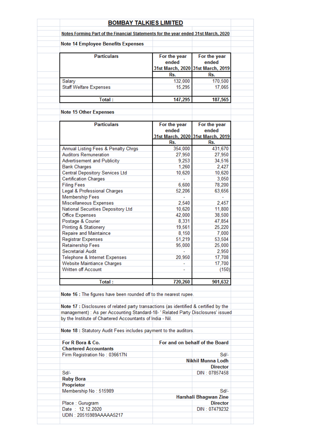| <b>BOMBAY TALKIES LIMITED</b>                                                         |                              |                                                                   |  |
|---------------------------------------------------------------------------------------|------------------------------|-------------------------------------------------------------------|--|
| Notes Forming Part of the Financial Statements for the year ended 31st March, 2020    |                              |                                                                   |  |
| <b>Note 14 Employee Benefits Expenses</b>                                             |                              |                                                                   |  |
| <b>Particulars</b>                                                                    | For the year<br>ended        | For the year<br>ended<br>31st March, 2020 31st March, 2019        |  |
|                                                                                       | Rs.                          | Rs.                                                               |  |
| Salary                                                                                | 132,000                      | 170,500                                                           |  |
| <b>Staff Welfare Expenses</b>                                                         | 15.295                       | 17,065                                                            |  |
| Total:                                                                                | 147,295                      | 187,565                                                           |  |
|                                                                                       |                              |                                                                   |  |
| <b>Note 15 Other Expenses</b>                                                         |                              |                                                                   |  |
| <b>Particulars</b>                                                                    | For the year<br>ended<br>Rs. | For the year<br>ended<br>31st March, 2020 31st March, 2019<br>Rs. |  |
| Annual Listing Fees & Penalty Chrgs                                                   | 354,000                      | 431,670                                                           |  |
| <b>Auditors Remuneration</b>                                                          | 27,950                       | 27,950                                                            |  |
| Advertisement and Publicity                                                           | 9,253                        | 34,516                                                            |  |
| <b>Bank Charges</b>                                                                   | 1,260                        | 2,427                                                             |  |
| <b>Central Depository Services Ltd</b>                                                | 10,620                       | 10,620                                                            |  |
| <b>Certification Charges</b>                                                          |                              | 3,050                                                             |  |
| <b>Filing Fees</b>                                                                    | 6,600                        | 78,200                                                            |  |
| Legal & Professional Charges                                                          | 52,206                       | 63,656                                                            |  |
| <b>Membership Fees</b>                                                                |                              |                                                                   |  |
| Miscellaneous Expenses                                                                | 2,540                        | 2,457                                                             |  |
| National Securities Depository Ltd                                                    | 10,620                       | 11,800                                                            |  |
| <b>Office Expenses</b>                                                                | 42,000                       | 38,500                                                            |  |
| Postage & Courier                                                                     | 8,331                        | 47,854                                                            |  |
| <b>Printing &amp; Stationery</b>                                                      | 19,561                       | 25,220                                                            |  |
| Repaire and Maintaince                                                                | 8,150                        | 7,000                                                             |  |
| <b>Registrar Expenses</b>                                                             | 51,219                       | 53,504                                                            |  |
| Retainership Fees                                                                     | 95,000                       | 25,000                                                            |  |
| Secretarial Audit                                                                     |                              | 2,950                                                             |  |
| Telephone & Internet Expenses                                                         | 20,950                       | 17,708                                                            |  |
| <b>Website Maintiance Charges</b>                                                     |                              | 17,700                                                            |  |
| Written off Account                                                                   |                              | (150)                                                             |  |
| Total:                                                                                | 720,260                      | 901,632                                                           |  |
| Note 16 : The figures have been rounded off to the nearest rupee.                     |                              |                                                                   |  |
|                                                                                       |                              |                                                                   |  |
| Note 17 : Disclosures of related party transactions (as identified & certified by the |                              |                                                                   |  |
| management) : As per Accounting Standard-18- ' Related Party Disclosures' issued      |                              |                                                                   |  |
| by the Institute of Chartered Accountants of India - Nil.                             |                              |                                                                   |  |
| Note 18 : Statutory Audit Fees includes payment to the auditors.                      |                              |                                                                   |  |
|                                                                                       |                              |                                                                   |  |
| For R Bora & Co.                                                                      |                              | For and on behalf of the Board                                    |  |
| <b>Chartered Accountants</b>                                                          |                              | Sd/-                                                              |  |
| Firm Registration No: 036617N                                                         |                              | Nikhil Munna Lodh                                                 |  |
|                                                                                       |                              | <b>Director</b>                                                   |  |
| Sd/-                                                                                  |                              | DIN: 07857458                                                     |  |
| <b>Ruby Bora</b>                                                                      |                              |                                                                   |  |
| Proprietor                                                                            |                              |                                                                   |  |
| Membership No: 515989                                                                 |                              | Sd/-                                                              |  |
|                                                                                       |                              | Harshali Bhagwan Zine                                             |  |
| Place: Gurugram                                                                       |                              | <b>Director</b>                                                   |  |
| Date: 12.12.2020                                                                      |                              | DIN: 07479232                                                     |  |
| UDIN: 20515989AAAAA5217                                                               |                              |                                                                   |  |
|                                                                                       |                              |                                                                   |  |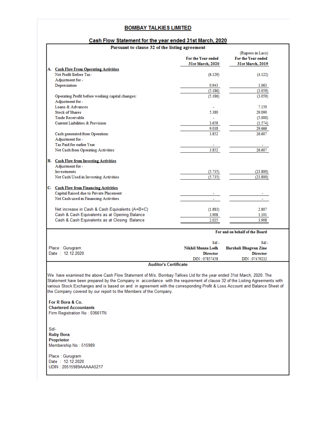#### Cash Flow Statement for the year ended 31st March, 2020

٦

| Pursuant to clause 32 of the listing agreement                                                                             |                    |                                        |
|----------------------------------------------------------------------------------------------------------------------------|--------------------|----------------------------------------|
|                                                                                                                            | For the Year ended | (Rupees in Lacs)<br>For the Year ended |
|                                                                                                                            | 31st March, 2020   | 31st March. 2019                       |
| A. Cash Flow From Operating Activities                                                                                     |                    |                                        |
| Net Profit Before Tax:                                                                                                     | (6.129)            | (4.122)                                |
| Adjustment for -                                                                                                           |                    |                                        |
| Depreciation                                                                                                               | 0.943              | 1.063                                  |
|                                                                                                                            | (5.186)            | (3.059)                                |
| Operating Profit before working capital changes:                                                                           | (5.186)            | (3.059)                                |
| Adjustment for -                                                                                                           |                    |                                        |
| Loans & Advances                                                                                                           |                    | 7.150                                  |
| <b>Stock of Shares</b>                                                                                                     | 5.380              | 29.090                                 |
| <b>Trade Receivable</b>                                                                                                    |                    | (5.000)                                |
| Current Liabilities & Provision                                                                                            | 3.658              | (1.574)                                |
|                                                                                                                            | 9.038              | 29.666                                 |
| Cash generated from Operation:                                                                                             | 3.852              | 26.607                                 |
| Adjustment for -                                                                                                           |                    |                                        |
| Tax Paid for earlier Year                                                                                                  |                    |                                        |
| Net Cash from Operating Activities                                                                                         | 3.852              | 26.607                                 |
|                                                                                                                            |                    |                                        |
| <b>B.</b> Cash Flow from Investing Activities                                                                              |                    |                                        |
| Adjustment for -                                                                                                           |                    |                                        |
| Investments                                                                                                                | (5.735)            | (23.800)                               |
| Net Cash Used in Investing Activities                                                                                      | (5.735)            | (23.800)                               |
|                                                                                                                            |                    |                                        |
| C. Cash Flow from Financing Activities                                                                                     |                    |                                        |
| Capital Raised due to Private Placement                                                                                    |                    |                                        |
| Net Cash used in Financing Activities                                                                                      |                    |                                        |
|                                                                                                                            |                    |                                        |
| Net increase in Cash & Cash Equivalents (A+B+C)                                                                            | (1.883)            | 2.807                                  |
| Cash & Cash Equivalents as at Opening Balance                                                                              | 3.908              | 1.101                                  |
| Cash & Cash Equivalents as at Closing Balance                                                                              | 2.025              | 3.908                                  |
|                                                                                                                            |                    |                                        |
|                                                                                                                            |                    | For and on behalf of the Board         |
|                                                                                                                            | $Sd/-$             | Sd/-                                   |
| Place: Gurugram                                                                                                            | Nikhil Munna Lodh  | Harshali Bhagwan Zine                  |
| Date: 12.12.2020                                                                                                           | <b>Director</b>    | <b>Director</b>                        |
|                                                                                                                            | DIN: 07857458      | DIN: 07479232                          |
| <b>Auditor's Certificate</b>                                                                                               |                    |                                        |
|                                                                                                                            |                    |                                        |
| We have examined the above Cash Flow Statement of M/s. Bombay Talkies Ltd for the year ended 31st March, 2020. The         |                    |                                        |
| Statement have been prepared by the Company in accordance with the requirement of clause 32 of the Listing Agreements with |                    |                                        |
| various Stock Exchanges and is based on and in agreement with the corresponding Profit & Loss Account and Balance Sheet of |                    |                                        |
| the Company covered by our report to the Members of the Company.                                                           |                    |                                        |
|                                                                                                                            |                    |                                        |
| For R Bora & Co.                                                                                                           |                    |                                        |
| <b>Chartered Accountants</b>                                                                                               |                    |                                        |

Firm Registration No: 036617N

 $Sd$ **Ruby Bora** Proprietor<br>Membership No: 515989

 $\overline{1}$ 

Place : Gurugram<br>Date : 12.12.2020<br>UDIN : 20515989AAAAA5217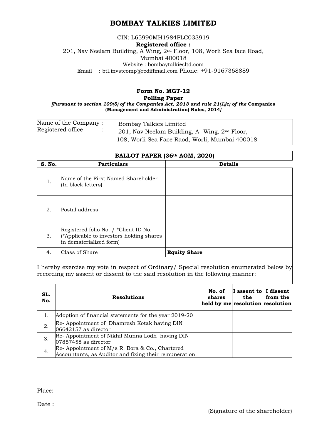#### CIN: L65990MH1984PLC033919 **Registered office :**  201, Nav Neelam Building, A Wing, 2nd Floor, 108, Worli Sea face Road, Mumbai 400018 Website : bombaytalkiesltd.com Email : btl.invstcomp@rediffmail.com Phone: +91-9167368889

#### **Form No. MGT-12**

#### **Polling Paper**

*[Pursuant to section 109(5) of the Companies Act, 2013 and rule 21(1)(c) of the* **Companies (Management and Administration) Rules, 2014***]*

| Name of the Company : | Bombay Talkies Limited                          |
|-----------------------|-------------------------------------------------|
| Registered office     | 201, Nav Neelam Building, A- Wing, $2nd$ Floor, |
|                       | 108, Worli Sea Face Raod, Worli, Mumbai 400018  |

| BALLOT PAPER (36th AGM, 2020) |                                                                                                              |                     |  |  |
|-------------------------------|--------------------------------------------------------------------------------------------------------------|---------------------|--|--|
| S. No.                        | <b>Particulars</b>                                                                                           | <b>Details</b>      |  |  |
| 1.                            | Name of the First Named Shareholder<br>(In block letters)                                                    |                     |  |  |
| 2.                            | Postal address                                                                                               |                     |  |  |
| 3.                            | Registered folio No. / *Client ID No.<br>(*Applicable to investors holding shares<br>in dematerialized form) |                     |  |  |
| 4.                            | Class of Share                                                                                               | <b>Equity Share</b> |  |  |
|                               |                                                                                                              |                     |  |  |

I hereby exercise my vote in respect of Ordinary/ Special resolution enumerated below by recording my assent or dissent to the said resolution in the following manner:

| SL.<br>No. | <b>Resolutions</b>                                                                                          | No. of<br>shares<br>held by me resolution resolution | I assent to I dissent<br>the | from the |
|------------|-------------------------------------------------------------------------------------------------------------|------------------------------------------------------|------------------------------|----------|
|            | Adoption of financial statements for the year 2019-20                                                       |                                                      |                              |          |
| 2.         | Re- Appointment of Dhamresh Kotak having DIN<br>$06642157$ as director                                      |                                                      |                              |          |
| 3.         | Re-Appointment of Nikhil Munna Lodh having DIN<br>$07857458$ as director                                    |                                                      |                              |          |
| 4.         | Re- Appointment of $M/s$ R. Bora & Co., Chartered<br>Accountants, as Auditor and fixing their remuneration. |                                                      |                              |          |

Place:

Date :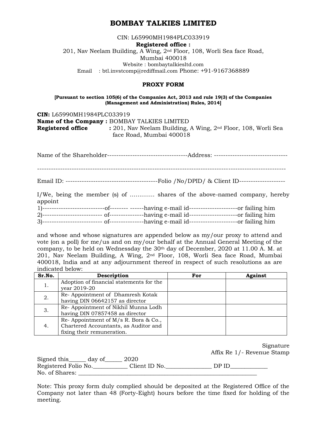CIN: L65990MH1984PLC033919 **Registered office :**  201, Nav Neelam Building, A Wing, 2nd Floor, 108, Worli Sea face Road, Mumbai 400018 Website : bombaytalkiesltd.com Email : btl.invstcomp@rediffmail.com Phone: +91-9167368889

#### **PROXY FORM**

#### **[Pursuant to section 105(6) of the Companies Act, 2013 and rule 19(3) of the Companies (Management and Administration) Rules, 2014]**

**CIN:** L65990MH1984PLC033919 **Name of the Company :** BOMBAY TALKIES LIMITED **Registered office :** 201, Nav Neelam Building, A Wing, 2nd Floor, 108, Worli Sea face Road, Mumbai 400018

| appoint | I/We, being the member (s) of  shares of the above-named company, hereby                          |
|---------|---------------------------------------------------------------------------------------------------|
|         | 1)---------------------------of-------- ------having e-mail id---------------------or failing him |

and whose and whose signatures are appended below as my/our proxy to attend and vote (on a poll) for me/us and on my/our behalf at the Annual General Meeting of the company, to be held on Wednessday the 30<sup>th</sup> day of December, 2020 at 11.00 A. M. at 201, Nav Neelam Building, A Wing, 2nd Floor, 108, Worli Sea face Road, Mumbai 400018, India and at any adjournment thereof in respect of such resolutions as are indicated below:

| Sr.No. | Description                              | For | <b>Against</b> |
|--------|------------------------------------------|-----|----------------|
| ュ.     | Adoption of financial statements for the |     |                |
|        | year 2019-20                             |     |                |
| 2.     | Re-Appointment of Dhamresh Kotak         |     |                |
|        | having DIN 06642157 as director          |     |                |
| 3.     | Re-Appointment of Nikhil Munna Lodh      |     |                |
|        | having DIN 07857458 as director          |     |                |
| 4.     | Re-Appointment of $M/s$ R. Bora & Co.,   |     |                |
|        | Chartered Accountants, as Auditor and    |     |                |
|        | fixing their remuneration.               |     |                |

| Signature                  |
|----------------------------|
| Affix Re 1/- Revenue Stamp |

Signed this\_\_\_\_\_\_ day of\_\_\_\_\_\_ 2020 Registered Folio No.\_\_\_\_\_\_\_\_\_\_\_\_ Client ID No.\_\_\_\_\_\_\_\_\_\_\_\_\_\_\_\_ DP ID\_\_\_\_\_\_\_\_\_\_\_\_\_ No. of Shares:

Note: This proxy form duly complied should be deposited at the Registered Office of the Company not later than 48 (Forty-Eight) hours before the time fixed for holding of the meeting.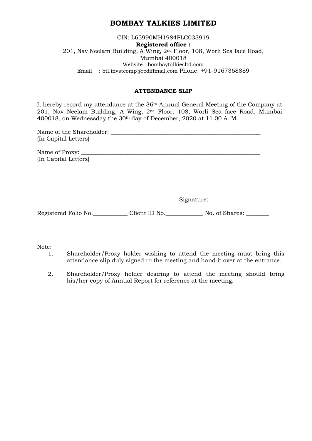CIN: L65990MH1984PLC033919 **Registered office :**  201, Nav Neelam Building, A Wing, 2nd Floor, 108, Worli Sea face Road, Mumbai 400018 Website : bombaytalkiesltd.com Email : btl.invstcomp@rediffmail.com Phone: +91-9167368889

#### **ATTENDANCE SLIP**

I, hereby record my attendance at the 36th Annual General Meeting of the Company at 201, Nav Neelam Building, A Wing, 2nd Floor, 108, Worli Sea face Road, Mumbai 400018, on Wednessday the 30th day of December, 2020 at 11.00 A. M.

| Name of the Shareholder: |  |
|--------------------------|--|
| (In Capital Letters)     |  |
|                          |  |

Name of Proxy: (In Capital Letters)

Signature:

Registered Folio No.\_\_\_\_\_\_\_\_\_\_\_\_\_ Client ID No.\_\_\_\_\_\_\_\_\_\_\_\_\_\_ No. of Shares: \_\_\_\_\_\_\_\_

Note:

- 1. Shareholder/Proxy holder wishing to attend the meeting must bring this attendance slip duly signed.ro the meeting and hand it over at the entrance.
- 2. Shareholder/Proxy holder desiring to attend the meeting should bring his/her copy of Annual Report for reference at the meeting.